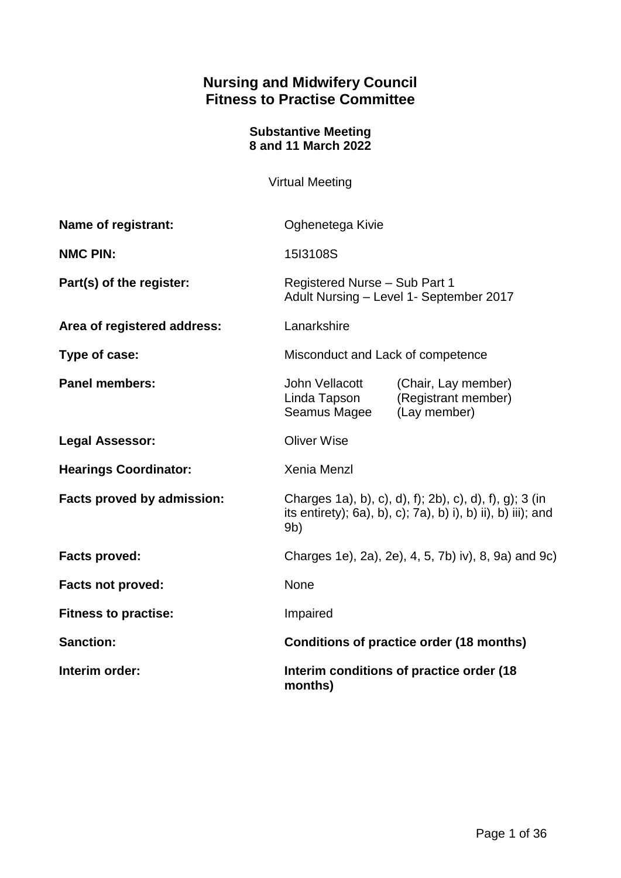## **Nursing and Midwifery Council Fitness to Practise Committee**

#### **Substantive Meeting 8 and 11 March 2022**

Virtual Meeting

| Name of registrant:          | Oghenetega Kivie                                                                                                                          |                                                            |
|------------------------------|-------------------------------------------------------------------------------------------------------------------------------------------|------------------------------------------------------------|
| <b>NMC PIN:</b>              | 15I3108S                                                                                                                                  |                                                            |
| Part(s) of the register:     | Registered Nurse - Sub Part 1<br>Adult Nursing - Level 1- September 2017                                                                  |                                                            |
| Area of registered address:  | Lanarkshire                                                                                                                               |                                                            |
| Type of case:                | Misconduct and Lack of competence                                                                                                         |                                                            |
| <b>Panel members:</b>        | John Vellacott<br>Linda Tapson<br>Seamus Magee                                                                                            | (Chair, Lay member)<br>(Registrant member)<br>(Lay member) |
| <b>Legal Assessor:</b>       | <b>Oliver Wise</b>                                                                                                                        |                                                            |
| <b>Hearings Coordinator:</b> | <b>Xenia Menzl</b>                                                                                                                        |                                                            |
| Facts proved by admission:   | Charges 1a), b), c), d), f); 2b), c), d), f), g); 3 (in<br>its entirety); 6a), b), c); 7a), b) i), b) ii), b) iii); and<br>9 <sub>b</sub> |                                                            |
| <b>Facts proved:</b>         | Charges 1e), 2a), 2e), 4, 5, 7b) iv), 8, 9a) and 9c)                                                                                      |                                                            |
| <b>Facts not proved:</b>     | <b>None</b>                                                                                                                               |                                                            |
| <b>Fitness to practise:</b>  | Impaired                                                                                                                                  |                                                            |
| <b>Sanction:</b>             | Conditions of practice order (18 months)                                                                                                  |                                                            |
| Interim order:               | Interim conditions of practice order (18<br>months)                                                                                       |                                                            |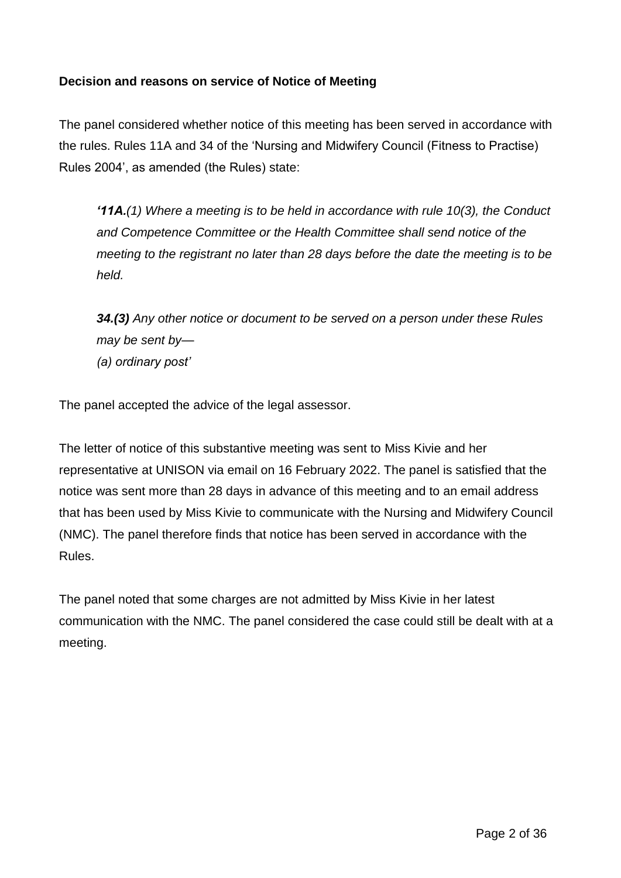## **Decision and reasons on service of Notice of Meeting**

The panel considered whether notice of this meeting has been served in accordance with the rules. Rules 11A and 34 of the 'Nursing and Midwifery Council (Fitness to Practise) Rules 2004', as amended (the Rules) state:

*'11A.(1) Where a meeting is to be held in accordance with rule 10(3), the Conduct and Competence Committee or the Health Committee shall send notice of the meeting to the registrant no later than 28 days before the date the meeting is to be held.*

*34.(3) Any other notice or document to be served on a person under these Rules may be sent by— (a) ordinary post'*

The panel accepted the advice of the legal assessor.

The letter of notice of this substantive meeting was sent to Miss Kivie and her representative at UNISON via email on 16 February 2022. The panel is satisfied that the notice was sent more than 28 days in advance of this meeting and to an email address that has been used by Miss Kivie to communicate with the Nursing and Midwifery Council (NMC). The panel therefore finds that notice has been served in accordance with the Rules.

The panel noted that some charges are not admitted by Miss Kivie in her latest communication with the NMC. The panel considered the case could still be dealt with at a meeting.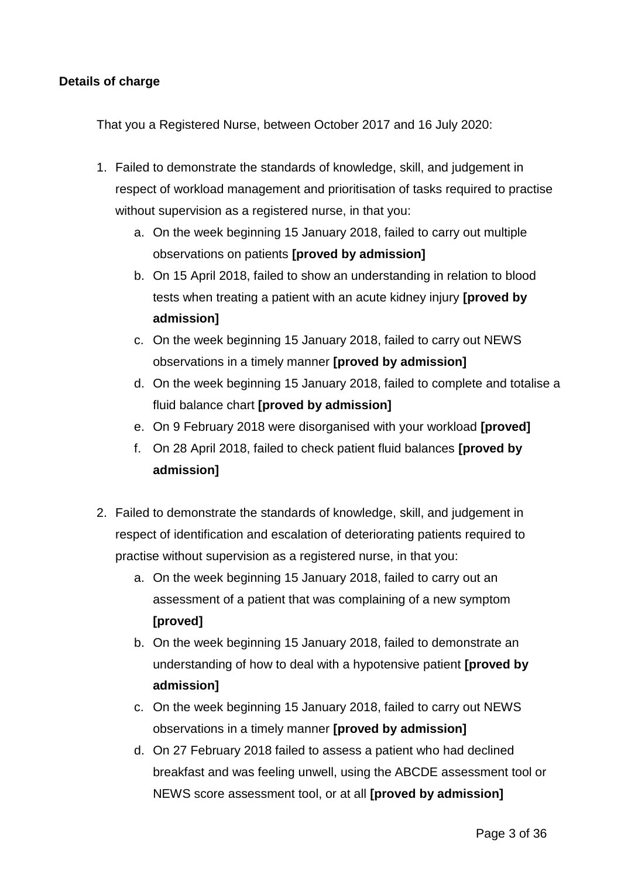## **Details of charge**

That you a Registered Nurse, between October 2017 and 16 July 2020:

- 1. Failed to demonstrate the standards of knowledge, skill, and judgement in respect of workload management and prioritisation of tasks required to practise without supervision as a registered nurse, in that you:
	- a. On the week beginning 15 January 2018, failed to carry out multiple observations on patients **[proved by admission]**
	- b. On 15 April 2018, failed to show an understanding in relation to blood tests when treating a patient with an acute kidney injury **[proved by admission]**
	- c. On the week beginning 15 January 2018, failed to carry out NEWS observations in a timely manner **[proved by admission]**
	- d. On the week beginning 15 January 2018, failed to complete and totalise a fluid balance chart **[proved by admission]**
	- e. On 9 February 2018 were disorganised with your workload **[proved]**
	- f. On 28 April 2018, failed to check patient fluid balances **[proved by admission]**
- 2. Failed to demonstrate the standards of knowledge, skill, and judgement in respect of identification and escalation of deteriorating patients required to practise without supervision as a registered nurse, in that you:
	- a. On the week beginning 15 January 2018, failed to carry out an assessment of a patient that was complaining of a new symptom **[proved]**
	- b. On the week beginning 15 January 2018, failed to demonstrate an understanding of how to deal with a hypotensive patient **[proved by admission]**
	- c. On the week beginning 15 January 2018, failed to carry out NEWS observations in a timely manner **[proved by admission]**
	- d. On 27 February 2018 failed to assess a patient who had declined breakfast and was feeling unwell, using the ABCDE assessment tool or NEWS score assessment tool, or at all **[proved by admission]**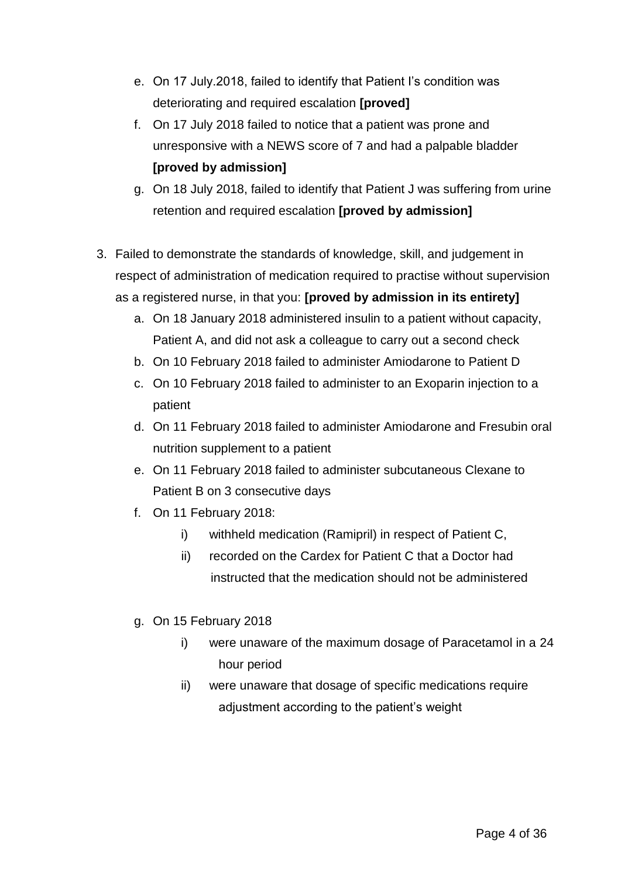- e. On 17 July.2018, failed to identify that Patient I's condition was deteriorating and required escalation **[proved]**
- f. On 17 July 2018 failed to notice that a patient was prone and unresponsive with a NEWS score of 7 and had a palpable bladder **[proved by admission]**
- g. On 18 July 2018, failed to identify that Patient J was suffering from urine retention and required escalation **[proved by admission]**
- 3. Failed to demonstrate the standards of knowledge, skill, and judgement in respect of administration of medication required to practise without supervision as a registered nurse, in that you: **[proved by admission in its entirety]**
	- a. On 18 January 2018 administered insulin to a patient without capacity, Patient A, and did not ask a colleague to carry out a second check
	- b. On 10 February 2018 failed to administer Amiodarone to Patient D
	- c. On 10 February 2018 failed to administer to an Exoparin injection to a patient
	- d. On 11 February 2018 failed to administer Amiodarone and Fresubin oral nutrition supplement to a patient
	- e. On 11 February 2018 failed to administer subcutaneous Clexane to Patient B on 3 consecutive days
	- f. On 11 February 2018:
		- i) withheld medication (Ramipril) in respect of Patient C,
		- ii) recorded on the Cardex for Patient C that a Doctor had instructed that the medication should not be administered
	- g. On 15 February 2018
		- i) were unaware of the maximum dosage of Paracetamol in a 24 hour period
		- ii) were unaware that dosage of specific medications require adjustment according to the patient's weight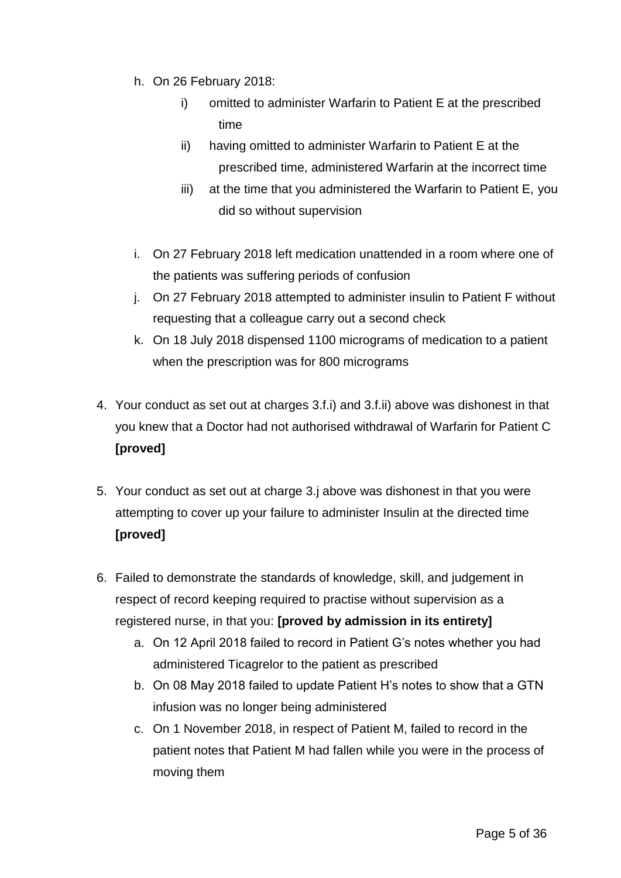- h. On 26 February 2018:
	- i) omitted to administer Warfarin to Patient E at the prescribed time
	- ii) having omitted to administer Warfarin to Patient E at the prescribed time, administered Warfarin at the incorrect time
	- iii) at the time that you administered the Warfarin to Patient E, you did so without supervision
- i. On 27 February 2018 left medication unattended in a room where one of the patients was suffering periods of confusion
- j. On 27 February 2018 attempted to administer insulin to Patient F without requesting that a colleague carry out a second check
- k. On 18 July 2018 dispensed 1100 micrograms of medication to a patient when the prescription was for 800 micrograms
- 4. Your conduct as set out at charges 3.f.i) and 3.f.ii) above was dishonest in that you knew that a Doctor had not authorised withdrawal of Warfarin for Patient C **[proved]**
- 5. Your conduct as set out at charge 3.j above was dishonest in that you were attempting to cover up your failure to administer Insulin at the directed time **[proved]**
- 6. Failed to demonstrate the standards of knowledge, skill, and judgement in respect of record keeping required to practise without supervision as a registered nurse, in that you: **[proved by admission in its entirety]**
	- a. On 12 April 2018 failed to record in Patient G's notes whether you had administered Ticagrelor to the patient as prescribed
	- b. On 08 May 2018 failed to update Patient H's notes to show that a GTN infusion was no longer being administered
	- c. On 1 November 2018, in respect of Patient M, failed to record in the patient notes that Patient M had fallen while you were in the process of moving them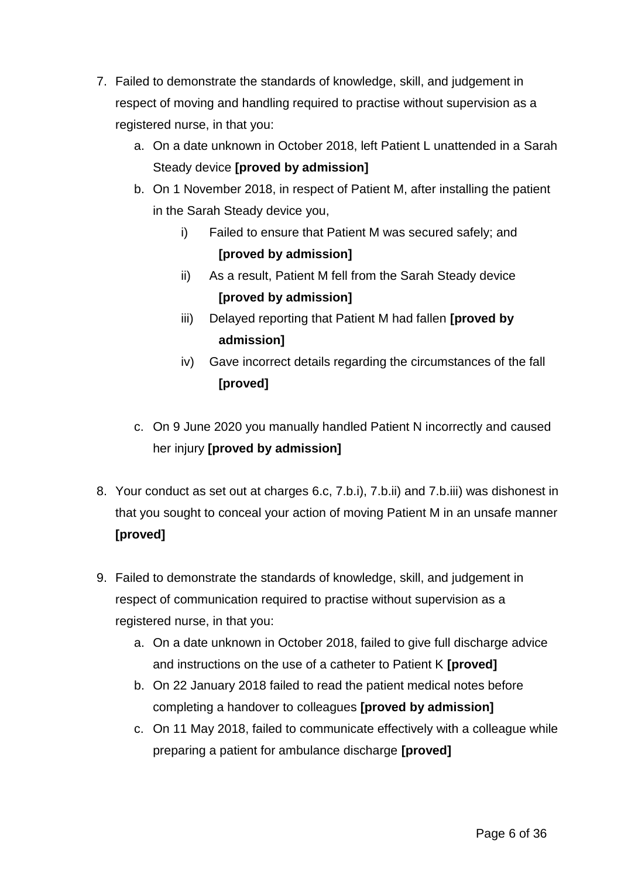- 7. Failed to demonstrate the standards of knowledge, skill, and judgement in respect of moving and handling required to practise without supervision as a registered nurse, in that you:
	- a. On a date unknown in October 2018, left Patient L unattended in a Sarah Steady device **[proved by admission]**
	- b. On 1 November 2018, in respect of Patient M, after installing the patient in the Sarah Steady device you,
		- i) Failed to ensure that Patient M was secured safely; and **[proved by admission]**
		- ii) As a result, Patient M fell from the Sarah Steady device **[proved by admission]**
		- iii) Delayed reporting that Patient M had fallen **[proved by admission]**
		- iv) Gave incorrect details regarding the circumstances of the fall **[proved]**
	- c. On 9 June 2020 you manually handled Patient N incorrectly and caused her injury **[proved by admission]**
- 8. Your conduct as set out at charges 6.c, 7.b.i), 7.b.ii) and 7.b.iii) was dishonest in that you sought to conceal your action of moving Patient M in an unsafe manner **[proved]**
- 9. Failed to demonstrate the standards of knowledge, skill, and judgement in respect of communication required to practise without supervision as a registered nurse, in that you:
	- a. On a date unknown in October 2018, failed to give full discharge advice and instructions on the use of a catheter to Patient K **[proved]**
	- b. On 22 January 2018 failed to read the patient medical notes before completing a handover to colleagues **[proved by admission]**
	- c. On 11 May 2018, failed to communicate effectively with a colleague while preparing a patient for ambulance discharge **[proved]**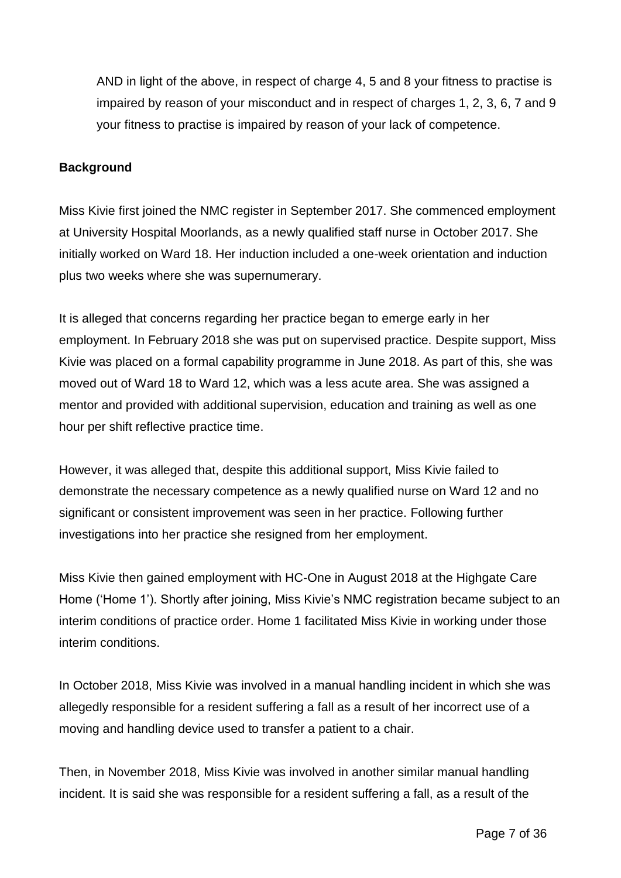AND in light of the above, in respect of charge 4, 5 and 8 your fitness to practise is impaired by reason of your misconduct and in respect of charges 1, 2, 3, 6, 7 and 9 your fitness to practise is impaired by reason of your lack of competence.

## **Background**

Miss Kivie first joined the NMC register in September 2017. She commenced employment at University Hospital Moorlands, as a newly qualified staff nurse in October 2017. She initially worked on Ward 18. Her induction included a one-week orientation and induction plus two weeks where she was supernumerary.

It is alleged that concerns regarding her practice began to emerge early in her employment. In February 2018 she was put on supervised practice. Despite support, Miss Kivie was placed on a formal capability programme in June 2018. As part of this, she was moved out of Ward 18 to Ward 12, which was a less acute area. She was assigned a mentor and provided with additional supervision, education and training as well as one hour per shift reflective practice time.

However, it was alleged that, despite this additional support, Miss Kivie failed to demonstrate the necessary competence as a newly qualified nurse on Ward 12 and no significant or consistent improvement was seen in her practice. Following further investigations into her practice she resigned from her employment.

Miss Kivie then gained employment with HC-One in August 2018 at the Highgate Care Home ('Home 1'). Shortly after joining, Miss Kivie's NMC registration became subject to an interim conditions of practice order. Home 1 facilitated Miss Kivie in working under those interim conditions.

In October 2018, Miss Kivie was involved in a manual handling incident in which she was allegedly responsible for a resident suffering a fall as a result of her incorrect use of a moving and handling device used to transfer a patient to a chair.

Then, in November 2018, Miss Kivie was involved in another similar manual handling incident. It is said she was responsible for a resident suffering a fall, as a result of the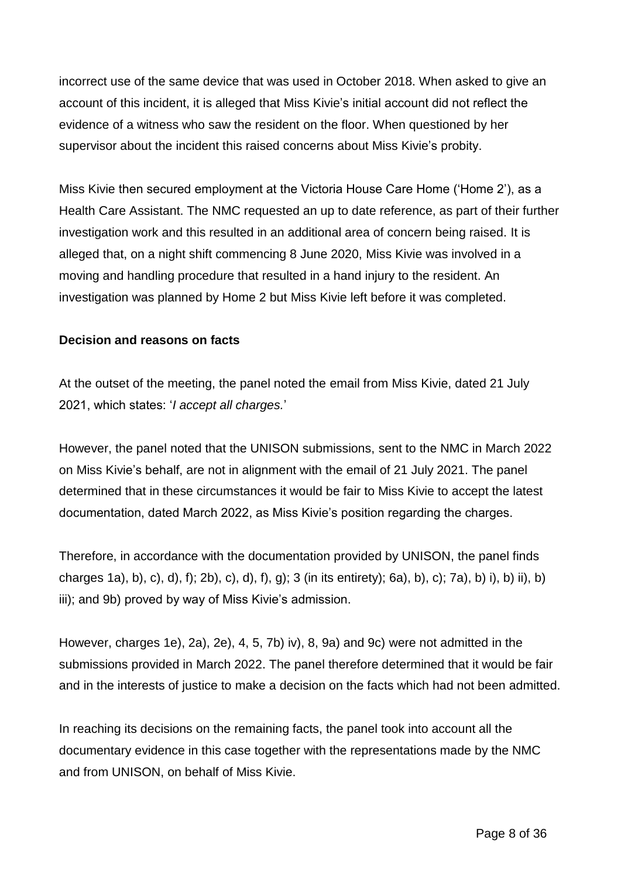incorrect use of the same device that was used in October 2018. When asked to give an account of this incident, it is alleged that Miss Kivie's initial account did not reflect the evidence of a witness who saw the resident on the floor. When questioned by her supervisor about the incident this raised concerns about Miss Kivie's probity.

Miss Kivie then secured employment at the Victoria House Care Home ('Home 2'), as a Health Care Assistant. The NMC requested an up to date reference, as part of their further investigation work and this resulted in an additional area of concern being raised. It is alleged that, on a night shift commencing 8 June 2020, Miss Kivie was involved in a moving and handling procedure that resulted in a hand injury to the resident. An investigation was planned by Home 2 but Miss Kivie left before it was completed.

## **Decision and reasons on facts**

At the outset of the meeting, the panel noted the email from Miss Kivie, dated 21 July 2021, which states: '*I accept all charges.*'

However, the panel noted that the UNISON submissions, sent to the NMC in March 2022 on Miss Kivie's behalf, are not in alignment with the email of 21 July 2021. The panel determined that in these circumstances it would be fair to Miss Kivie to accept the latest documentation, dated March 2022, as Miss Kivie's position regarding the charges.

Therefore, in accordance with the documentation provided by UNISON, the panel finds charges 1a), b), c), d), f); 2b), c), d), f), g); 3 (in its entirety); 6a), b), c); 7a), b) i), b) ii), b) iii); and 9b) proved by way of Miss Kivie's admission.

However, charges 1e), 2a), 2e), 4, 5, 7b) iv), 8, 9a) and 9c) were not admitted in the submissions provided in March 2022. The panel therefore determined that it would be fair and in the interests of justice to make a decision on the facts which had not been admitted.

In reaching its decisions on the remaining facts, the panel took into account all the documentary evidence in this case together with the representations made by the NMC and from UNISON, on behalf of Miss Kivie.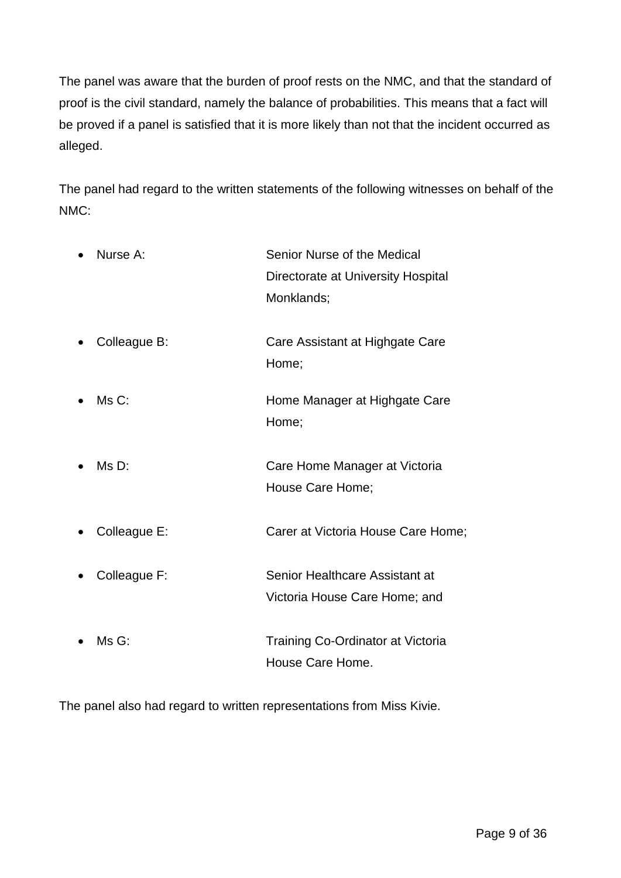The panel was aware that the burden of proof rests on the NMC, and that the standard of proof is the civil standard, namely the balance of probabilities. This means that a fact will be proved if a panel is satisfied that it is more likely than not that the incident occurred as alleged.

The panel had regard to the written statements of the following witnesses on behalf of the NMC:

| Nurse A:     | Senior Nurse of the Medical<br>Directorate at University Hospital |
|--------------|-------------------------------------------------------------------|
|              | Monklands;                                                        |
| Colleague B: | Care Assistant at Highgate Care<br>Home;                          |
| Ms C:        | Home Manager at Highgate Care<br>Home;                            |
| Ms D:        | Care Home Manager at Victoria<br>House Care Home;                 |
| Colleague E: | Carer at Victoria House Care Home;                                |
| Colleague F: | Senior Healthcare Assistant at<br>Victoria House Care Home; and   |
| Ms G:        | <b>Training Co-Ordinator at Victoria</b><br>House Care Home.      |

The panel also had regard to written representations from Miss Kivie.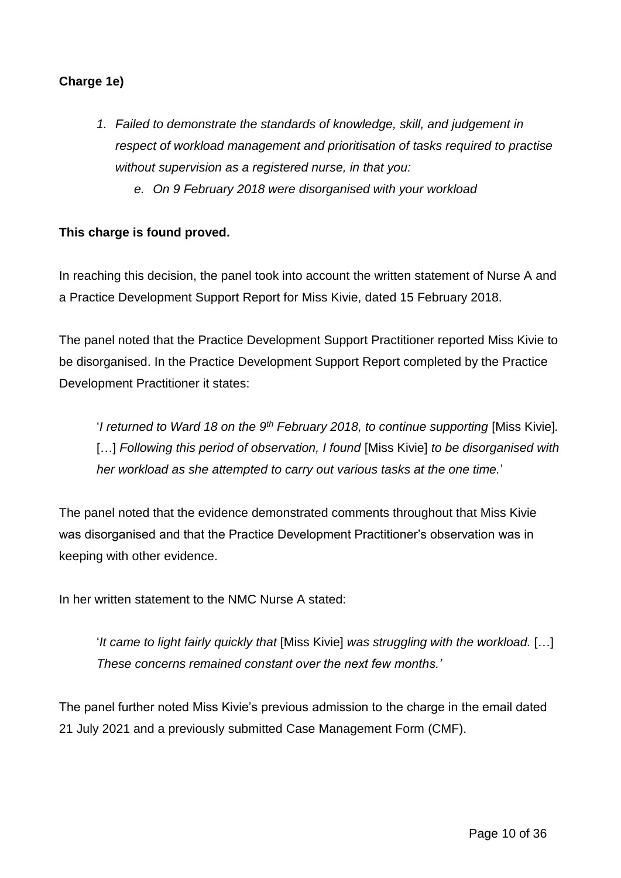## **Charge 1e)**

- *1. Failed to demonstrate the standards of knowledge, skill, and judgement in respect of workload management and prioritisation of tasks required to practise without supervision as a registered nurse, in that you:*
	- *e. On 9 February 2018 were disorganised with your workload*

## **This charge is found proved.**

In reaching this decision, the panel took into account the written statement of Nurse A and a Practice Development Support Report for Miss Kivie, dated 15 February 2018.

The panel noted that the Practice Development Support Practitioner reported Miss Kivie to be disorganised. In the Practice Development Support Report completed by the Practice Development Practitioner it states:

'*I returned to Ward 18 on the 9th February 2018, to continue supporting* [Miss Kivie]*.*  [...] Following this period of observation, I found [Miss Kivie] to be disorganised with *her workload as she attempted to carry out various tasks at the one time.*'

The panel noted that the evidence demonstrated comments throughout that Miss Kivie was disorganised and that the Practice Development Practitioner's observation was in keeping with other evidence.

In her written statement to the NMC Nurse A stated:

'*It came to light fairly quickly that* [Miss Kivie] *was struggling with the workload.* […] *These concerns remained constant over the next few months.'*

The panel further noted Miss Kivie's previous admission to the charge in the email dated 21 July 2021 and a previously submitted Case Management Form (CMF).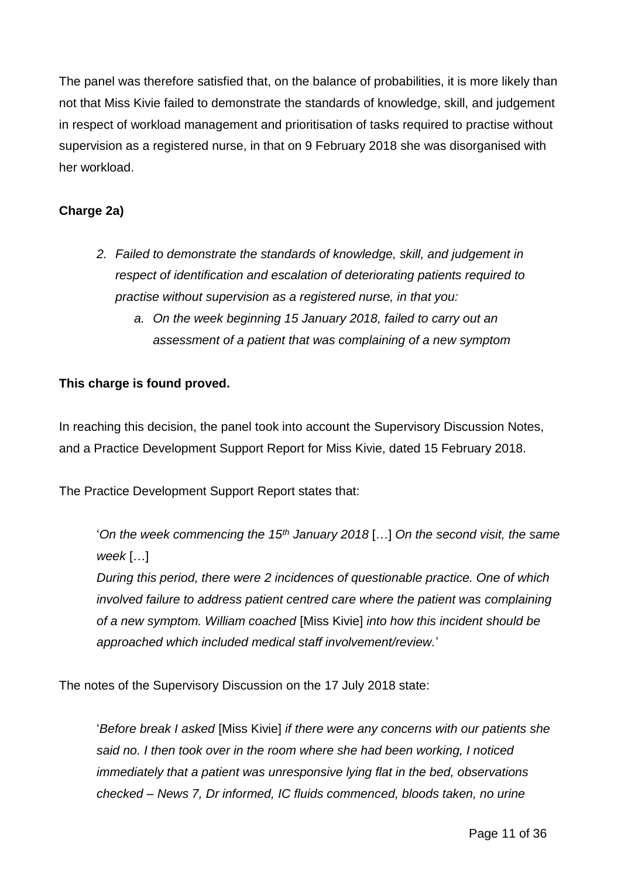The panel was therefore satisfied that, on the balance of probabilities, it is more likely than not that Miss Kivie failed to demonstrate the standards of knowledge, skill, and judgement in respect of workload management and prioritisation of tasks required to practise without supervision as a registered nurse, in that on 9 February 2018 she was disorganised with her workload.

## **Charge 2a)**

- *2. Failed to demonstrate the standards of knowledge, skill, and judgement in respect of identification and escalation of deteriorating patients required to practise without supervision as a registered nurse, in that you:*
	- *a. On the week beginning 15 January 2018, failed to carry out an assessment of a patient that was complaining of a new symptom*

## **This charge is found proved.**

In reaching this decision, the panel took into account the Supervisory Discussion Notes, and a Practice Development Support Report for Miss Kivie, dated 15 February 2018.

The Practice Development Support Report states that:

'*On the week commencing the 15th January 2018* […] *On the second visit, the same week* […]

*During this period, there were 2 incidences of questionable practice. One of which involved failure to address patient centred care where the patient was complaining of a new symptom. William coached* [Miss Kivie] *into how this incident should be approached which included medical staff involvement/review.*'

The notes of the Supervisory Discussion on the 17 July 2018 state:

'*Before break I asked* [Miss Kivie] *if there were any concerns with our patients she said no. I then took over in the room where she had been working, I noticed immediately that a patient was unresponsive lying flat in the bed, observations checked – News 7, Dr informed, IC fluids commenced, bloods taken, no urine*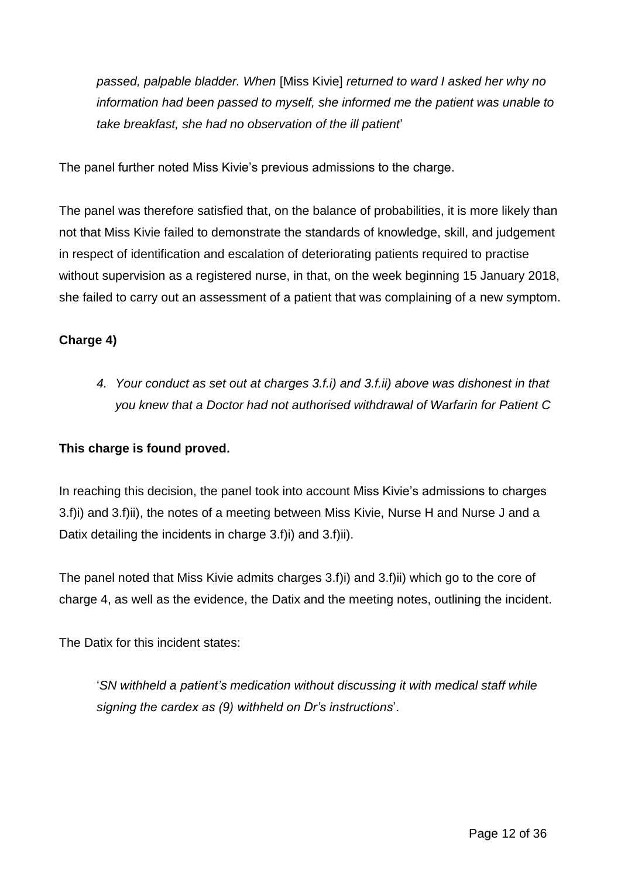*passed, palpable bladder. When* [Miss Kivie] *returned to ward I asked her why no information had been passed to myself, she informed me the patient was unable to take breakfast, she had no observation of the ill patient*'

The panel further noted Miss Kivie's previous admissions to the charge.

The panel was therefore satisfied that, on the balance of probabilities, it is more likely than not that Miss Kivie failed to demonstrate the standards of knowledge, skill, and judgement in respect of identification and escalation of deteriorating patients required to practise without supervision as a registered nurse, in that, on the week beginning 15 January 2018, she failed to carry out an assessment of a patient that was complaining of a new symptom.

## **Charge 4)**

*4. Your conduct as set out at charges 3.f.i) and 3.f.ii) above was dishonest in that you knew that a Doctor had not authorised withdrawal of Warfarin for Patient C*

## **This charge is found proved.**

In reaching this decision, the panel took into account Miss Kivie's admissions to charges 3.f)i) and 3.f)ii), the notes of a meeting between Miss Kivie, Nurse H and Nurse J and a Datix detailing the incidents in charge 3.f)i) and 3.f)ii).

The panel noted that Miss Kivie admits charges 3.f)i) and 3.f)ii) which go to the core of charge 4, as well as the evidence, the Datix and the meeting notes, outlining the incident.

The Datix for this incident states:

'*SN withheld a patient's medication without discussing it with medical staff while signing the cardex as (9) withheld on Dr's instructions*'.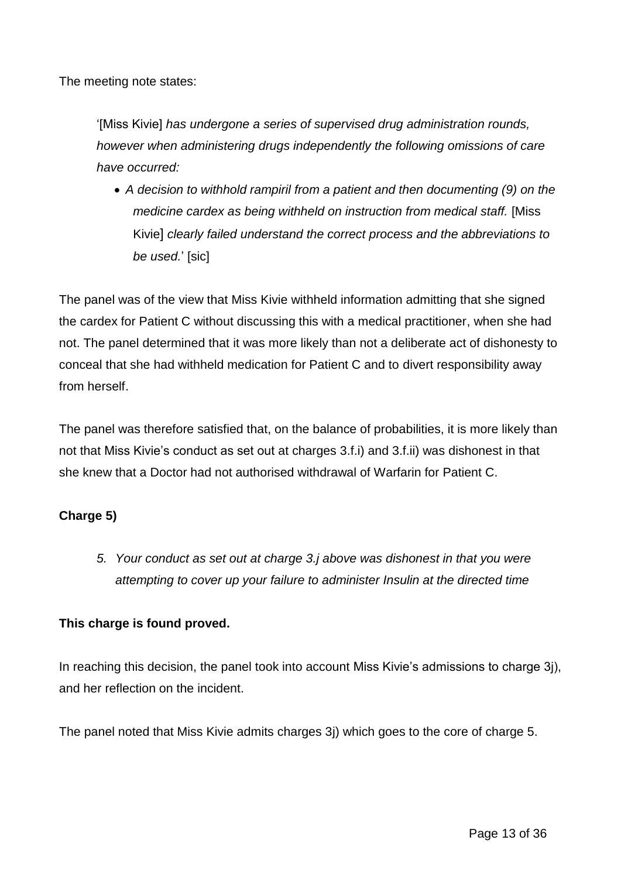The meeting note states:

'[Miss Kivie] *has undergone a series of supervised drug administration rounds, however when administering drugs independently the following omissions of care have occurred:* 

 *A decision to withhold rampiril from a patient and then documenting (9) on the medicine cardex as being withheld on instruction from medical staff.* [Miss Kivie] *clearly failed understand the correct process and the abbreviations to be used.*' [sic]

The panel was of the view that Miss Kivie withheld information admitting that she signed the cardex for Patient C without discussing this with a medical practitioner, when she had not. The panel determined that it was more likely than not a deliberate act of dishonesty to conceal that she had withheld medication for Patient C and to divert responsibility away from herself.

The panel was therefore satisfied that, on the balance of probabilities, it is more likely than not that Miss Kivie's conduct as set out at charges 3.f.i) and 3.f.ii) was dishonest in that she knew that a Doctor had not authorised withdrawal of Warfarin for Patient C.

## **Charge 5)**

*5. Your conduct as set out at charge 3.j above was dishonest in that you were attempting to cover up your failure to administer Insulin at the directed time*

## **This charge is found proved.**

In reaching this decision, the panel took into account Miss Kivie's admissions to charge 3j), and her reflection on the incident.

The panel noted that Miss Kivie admits charges 3j) which goes to the core of charge 5.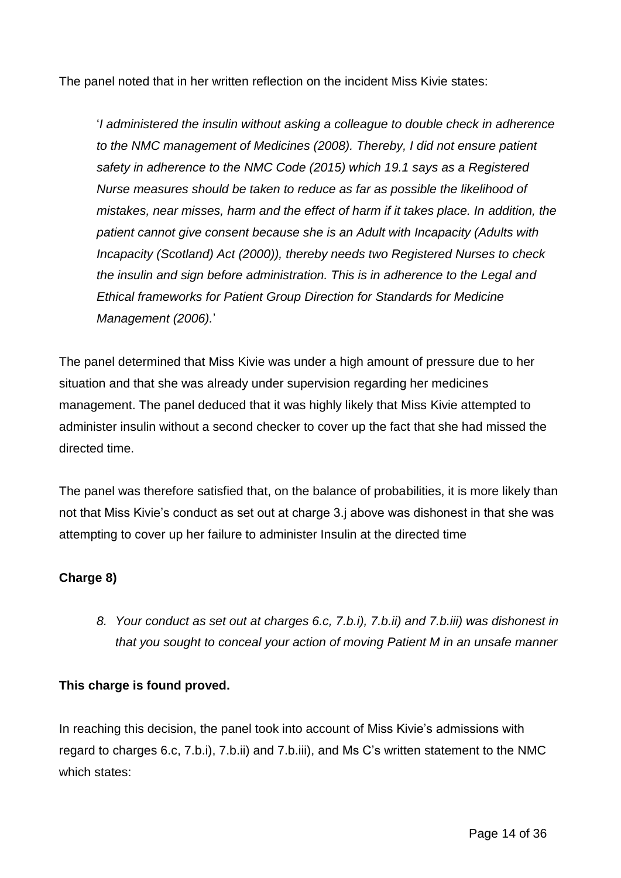The panel noted that in her written reflection on the incident Miss Kivie states:

'*I administered the insulin without asking a colleague to double check in adherence to the NMC management of Medicines (2008). Thereby, I did not ensure patient safety in adherence to the NMC Code (2015) which 19.1 says as a Registered Nurse measures should be taken to reduce as far as possible the likelihood of mistakes, near misses, harm and the effect of harm if it takes place. In addition, the patient cannot give consent because she is an Adult with Incapacity (Adults with Incapacity (Scotland) Act (2000)), thereby needs two Registered Nurses to check the insulin and sign before administration. This is in adherence to the Legal and Ethical frameworks for Patient Group Direction for Standards for Medicine Management (2006).*'

The panel determined that Miss Kivie was under a high amount of pressure due to her situation and that she was already under supervision regarding her medicines management. The panel deduced that it was highly likely that Miss Kivie attempted to administer insulin without a second checker to cover up the fact that she had missed the directed time.

The panel was therefore satisfied that, on the balance of probabilities, it is more likely than not that Miss Kivie's conduct as set out at charge 3.j above was dishonest in that she was attempting to cover up her failure to administer Insulin at the directed time

## **Charge 8)**

*8. Your conduct as set out at charges 6.c, 7.b.i), 7.b.ii) and 7.b.iii) was dishonest in that you sought to conceal your action of moving Patient M in an unsafe manner*

## **This charge is found proved.**

In reaching this decision, the panel took into account of Miss Kivie's admissions with regard to charges 6.c, 7.b.i), 7.b.ii) and 7.b.iii), and Ms C's written statement to the NMC which states: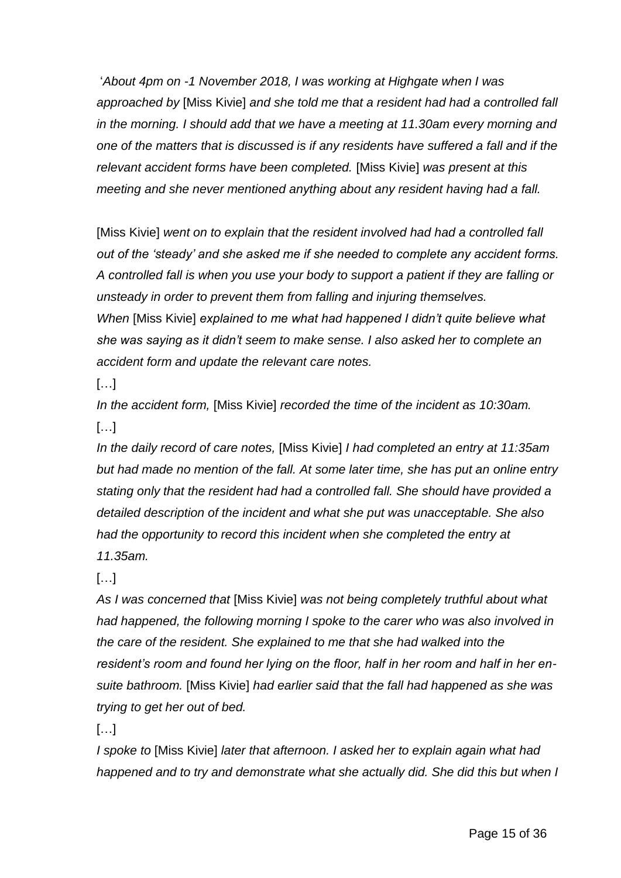'*About 4pm on -1 November 2018, I was working at Highgate when I was approached by* [Miss Kivie] *and she told me that a resident had had a controlled fall in the morning. I should add that we have a meeting at 11.30am every morning and one of the matters that is discussed is if any residents have suffered a fall and if the relevant accident forms have been completed.* [Miss Kivie] *was present at this meeting and she never mentioned anything about any resident having had a fall.*

[Miss Kivie] *went on to explain that the resident involved had had a controlled fall out of the 'steady' and she asked me if she needed to complete any accident forms. A controlled fall is when you use your body to support a patient if they are falling or unsteady in order to prevent them from falling and injuring themselves. When* [Miss Kivie] *explained to me what had happened I didn't quite believe what she was saying as it didn't seem to make sense. I also asked her to complete an accident form and update the relevant care notes.*

 $[\ldots]$ 

*In the accident form,* [Miss Kivie] *recorded the time of the incident as 10:30am.*  […]

*In the daily record of care notes,* [Miss Kivie] *I had completed an entry at 11:35am but had made no mention of the fall. At some later time, she has put an online entry stating only that the resident had had a controlled fall. She should have provided a detailed description of the incident and what she put was unacceptable. She also had the opportunity to record this incident when she completed the entry at 11.35am.* 

 $[...]$ 

*As I was concerned that* [Miss Kivie] *was not being completely truthful about what had happened, the following morning I spoke to the carer who was also involved in the care of the resident. She explained to me that she had walked into the resident's room and found her lying on the floor, half in her room and half in her ensuite bathroom.* [Miss Kivie] *had earlier said that the fall had happened as she was trying to get her out of bed.* 

 $[...]$ 

*I spoke to* [Miss Kivie] *later that afternoon. I asked her to explain again what had happened and to try and demonstrate what she actually did. She did this but when I*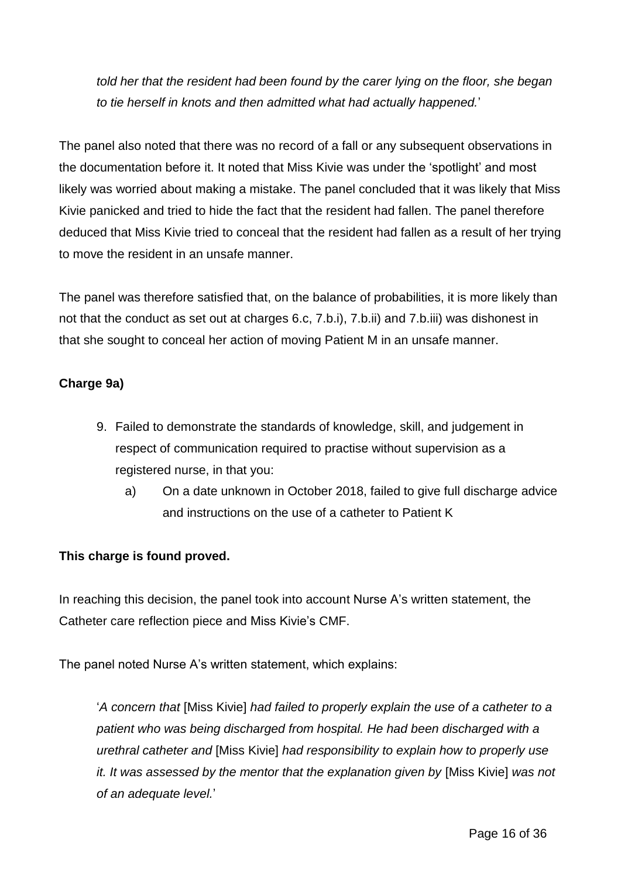*told her that the resident had been found by the carer lying on the floor, she began to tie herself in knots and then admitted what had actually happened.*'

The panel also noted that there was no record of a fall or any subsequent observations in the documentation before it. It noted that Miss Kivie was under the 'spotlight' and most likely was worried about making a mistake. The panel concluded that it was likely that Miss Kivie panicked and tried to hide the fact that the resident had fallen. The panel therefore deduced that Miss Kivie tried to conceal that the resident had fallen as a result of her trying to move the resident in an unsafe manner.

The panel was therefore satisfied that, on the balance of probabilities, it is more likely than not that the conduct as set out at charges 6.c, 7.b.i), 7.b.ii) and 7.b.iii) was dishonest in that she sought to conceal her action of moving Patient M in an unsafe manner.

## **Charge 9a)**

- 9. Failed to demonstrate the standards of knowledge, skill, and judgement in respect of communication required to practise without supervision as a registered nurse, in that you:
	- a) On a date unknown in October 2018, failed to give full discharge advice and instructions on the use of a catheter to Patient K

## **This charge is found proved.**

In reaching this decision, the panel took into account Nurse A's written statement, the Catheter care reflection piece and Miss Kivie's CMF.

The panel noted Nurse A's written statement, which explains:

'*A concern that* [Miss Kivie] *had failed to properly explain the use of a catheter to a patient who was being discharged from hospital. He had been discharged with a urethral catheter and* [Miss Kivie] *had responsibility to explain how to properly use it. It was assessed by the mentor that the explanation given by* [Miss Kivie] *was not of an adequate level.*'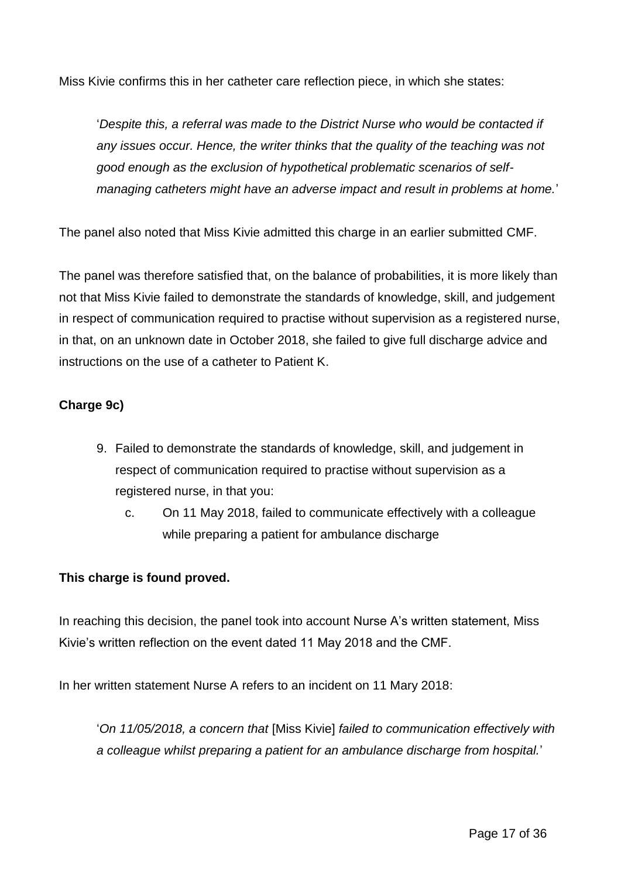Miss Kivie confirms this in her catheter care reflection piece, in which she states:

'*Despite this, a referral was made to the District Nurse who would be contacted if any issues occur. Hence, the writer thinks that the quality of the teaching was not good enough as the exclusion of hypothetical problematic scenarios of selfmanaging catheters might have an adverse impact and result in problems at home.*'

The panel also noted that Miss Kivie admitted this charge in an earlier submitted CMF.

The panel was therefore satisfied that, on the balance of probabilities, it is more likely than not that Miss Kivie failed to demonstrate the standards of knowledge, skill, and judgement in respect of communication required to practise without supervision as a registered nurse, in that, on an unknown date in October 2018, she failed to give full discharge advice and instructions on the use of a catheter to Patient K.

## **Charge 9c)**

- 9. Failed to demonstrate the standards of knowledge, skill, and judgement in respect of communication required to practise without supervision as a registered nurse, in that you:
	- c. On 11 May 2018, failed to communicate effectively with a colleague while preparing a patient for ambulance discharge

## **This charge is found proved.**

In reaching this decision, the panel took into account Nurse A's written statement, Miss Kivie's written reflection on the event dated 11 May 2018 and the CMF.

In her written statement Nurse A refers to an incident on 11 Mary 2018:

'*On 11/05/2018, a concern that* [Miss Kivie] *failed to communication effectively with a colleague whilst preparing a patient for an ambulance discharge from hospital.*'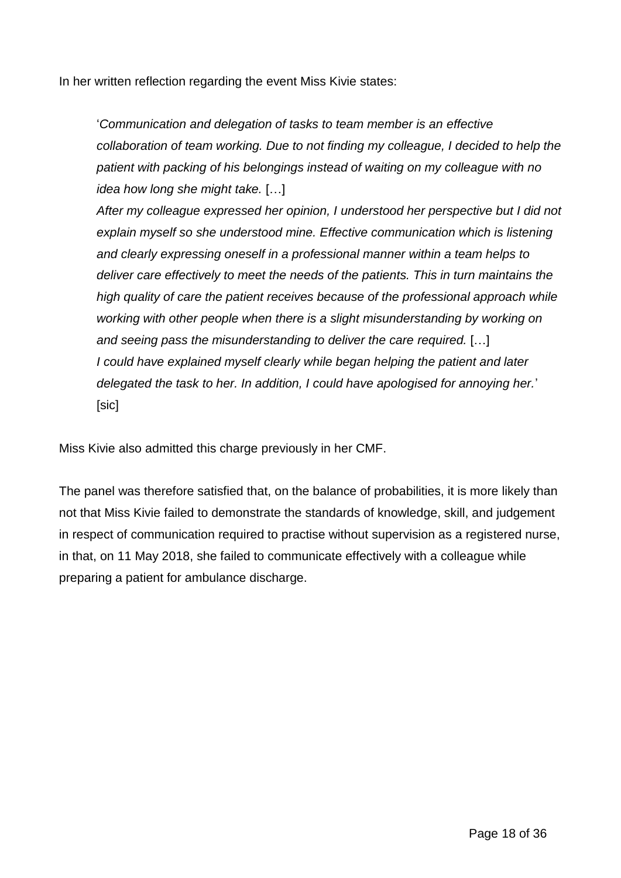In her written reflection regarding the event Miss Kivie states:

'*Communication and delegation of tasks to team member is an effective collaboration of team working. Due to not finding my colleague, I decided to help the patient with packing of his belongings instead of waiting on my colleague with no idea how long she might take.* […]

*After my colleague expressed her opinion, I understood her perspective but I did not explain myself so she understood mine. Effective communication which is listening and clearly expressing oneself in a professional manner within a team helps to deliver care effectively to meet the needs of the patients. This in turn maintains the high quality of care the patient receives because of the professional approach while working with other people when there is a slight misunderstanding by working on and seeing pass the misunderstanding to deliver the care required.* […] *I could have explained myself clearly while began helping the patient and later delegated the task to her. In addition, I could have apologised for annoying her.*' [sic]

Miss Kivie also admitted this charge previously in her CMF.

The panel was therefore satisfied that, on the balance of probabilities, it is more likely than not that Miss Kivie failed to demonstrate the standards of knowledge, skill, and judgement in respect of communication required to practise without supervision as a registered nurse, in that, on 11 May 2018, she failed to communicate effectively with a colleague while preparing a patient for ambulance discharge.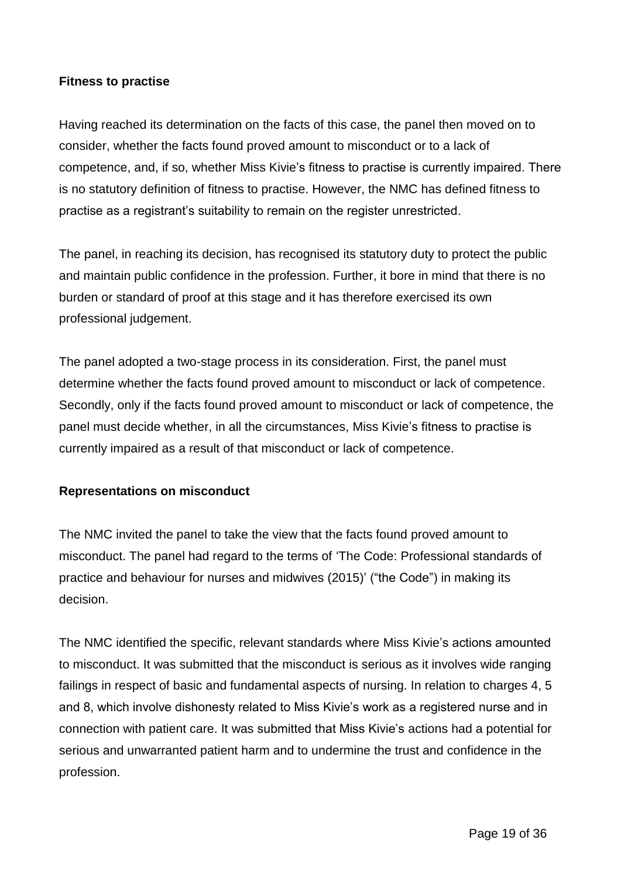#### **Fitness to practise**

Having reached its determination on the facts of this case, the panel then moved on to consider, whether the facts found proved amount to misconduct or to a lack of competence, and, if so, whether Miss Kivie's fitness to practise is currently impaired. There is no statutory definition of fitness to practise. However, the NMC has defined fitness to practise as a registrant's suitability to remain on the register unrestricted.

The panel, in reaching its decision, has recognised its statutory duty to protect the public and maintain public confidence in the profession. Further, it bore in mind that there is no burden or standard of proof at this stage and it has therefore exercised its own professional judgement.

The panel adopted a two-stage process in its consideration. First, the panel must determine whether the facts found proved amount to misconduct or lack of competence. Secondly, only if the facts found proved amount to misconduct or lack of competence, the panel must decide whether, in all the circumstances, Miss Kivie's fitness to practise is currently impaired as a result of that misconduct or lack of competence.

## **Representations on misconduct**

The NMC invited the panel to take the view that the facts found proved amount to misconduct. The panel had regard to the terms of 'The Code: Professional standards of practice and behaviour for nurses and midwives (2015)' ("the Code") in making its decision.

The NMC identified the specific, relevant standards where Miss Kivie's actions amounted to misconduct. It was submitted that the misconduct is serious as it involves wide ranging failings in respect of basic and fundamental aspects of nursing. In relation to charges 4, 5 and 8, which involve dishonesty related to Miss Kivie's work as a registered nurse and in connection with patient care. It was submitted that Miss Kivie's actions had a potential for serious and unwarranted patient harm and to undermine the trust and confidence in the profession.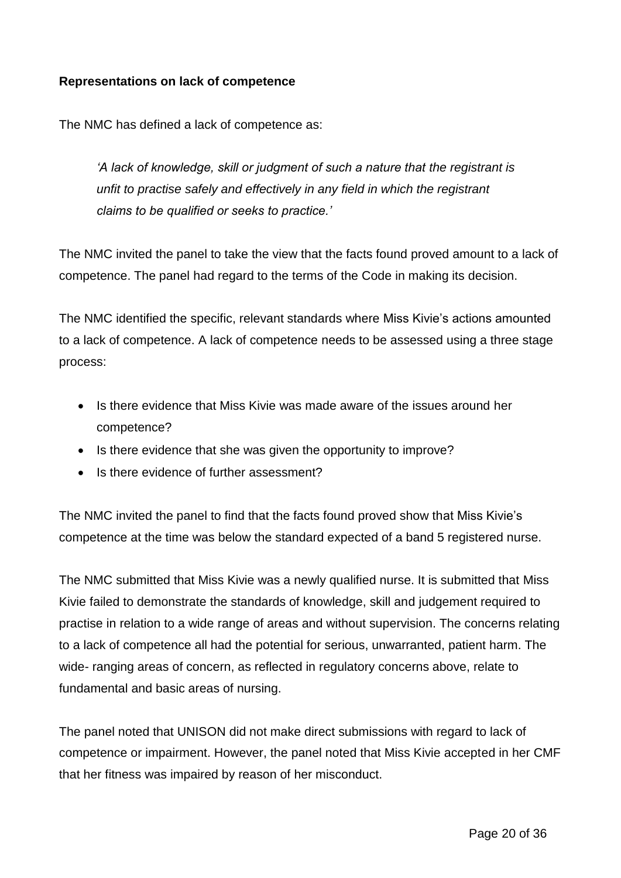#### **Representations on lack of competence**

The NMC has defined a lack of competence as:

*'A lack of knowledge, skill or judgment of such a nature that the registrant is unfit to practise safely and effectively in any field in which the registrant claims to be qualified or seeks to practice.'*

The NMC invited the panel to take the view that the facts found proved amount to a lack of competence. The panel had regard to the terms of the Code in making its decision.

The NMC identified the specific, relevant standards where Miss Kivie's actions amounted to a lack of competence. A lack of competence needs to be assessed using a three stage process:

- Is there evidence that Miss Kivie was made aware of the issues around her competence?
- Is there evidence that she was given the opportunity to improve?
- Is there evidence of further assessment?

The NMC invited the panel to find that the facts found proved show that Miss Kivie's competence at the time was below the standard expected of a band 5 registered nurse.

The NMC submitted that Miss Kivie was a newly qualified nurse. It is submitted that Miss Kivie failed to demonstrate the standards of knowledge, skill and judgement required to practise in relation to a wide range of areas and without supervision. The concerns relating to a lack of competence all had the potential for serious, unwarranted, patient harm. The wide- ranging areas of concern, as reflected in regulatory concerns above, relate to fundamental and basic areas of nursing.

The panel noted that UNISON did not make direct submissions with regard to lack of competence or impairment. However, the panel noted that Miss Kivie accepted in her CMF that her fitness was impaired by reason of her misconduct.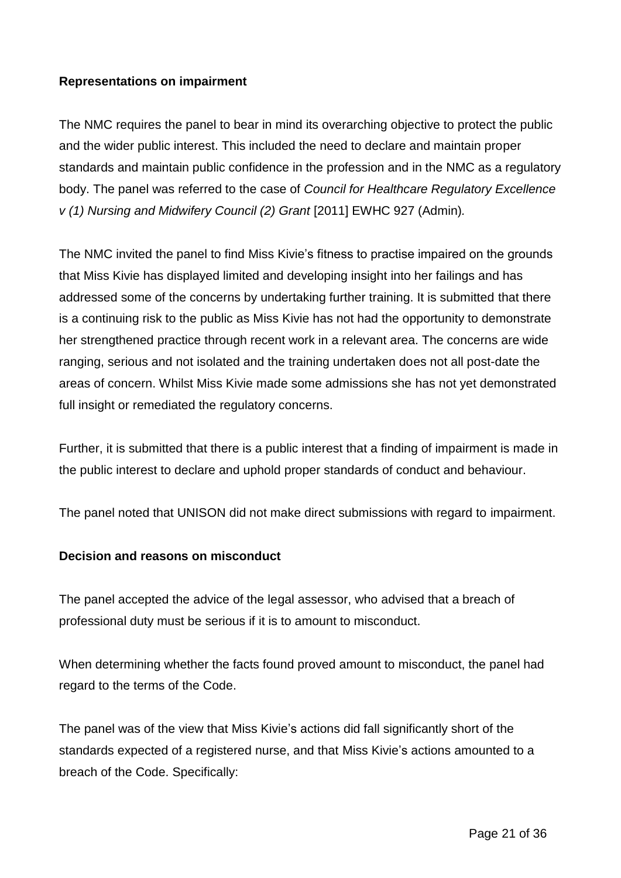## **Representations on impairment**

The NMC requires the panel to bear in mind its overarching objective to protect the public and the wider public interest. This included the need to declare and maintain proper standards and maintain public confidence in the profession and in the NMC as a regulatory body. The panel was referred to the case of *Council for Healthcare Regulatory Excellence v (1) Nursing and Midwifery Council (2) Grant* [2011] EWHC 927 (Admin)*.*

The NMC invited the panel to find Miss Kivie's fitness to practise impaired on the grounds that Miss Kivie has displayed limited and developing insight into her failings and has addressed some of the concerns by undertaking further training. It is submitted that there is a continuing risk to the public as Miss Kivie has not had the opportunity to demonstrate her strengthened practice through recent work in a relevant area. The concerns are wide ranging, serious and not isolated and the training undertaken does not all post-date the areas of concern. Whilst Miss Kivie made some admissions she has not yet demonstrated full insight or remediated the regulatory concerns.

Further, it is submitted that there is a public interest that a finding of impairment is made in the public interest to declare and uphold proper standards of conduct and behaviour.

The panel noted that UNISON did not make direct submissions with regard to impairment.

#### **Decision and reasons on misconduct**

The panel accepted the advice of the legal assessor, who advised that a breach of professional duty must be serious if it is to amount to misconduct.

When determining whether the facts found proved amount to misconduct, the panel had regard to the terms of the Code.

The panel was of the view that Miss Kivie's actions did fall significantly short of the standards expected of a registered nurse, and that Miss Kivie's actions amounted to a breach of the Code. Specifically: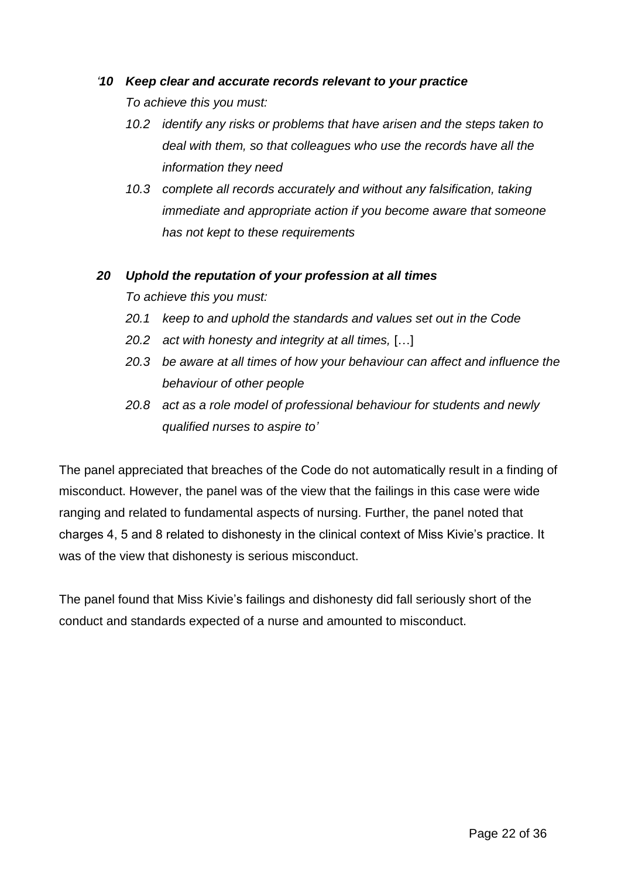## *'10 Keep clear and accurate records relevant to your practice*

*To achieve this you must:*

- *10.2 identify any risks or problems that have arisen and the steps taken to deal with them, so that colleagues who use the records have all the information they need*
- *10.3 complete all records accurately and without any falsification, taking immediate and appropriate action if you become aware that someone has not kept to these requirements*

#### *20 Uphold the reputation of your profession at all times*

*To achieve this you must:* 

- *20.1 keep to and uphold the standards and values set out in the Code*
- *20.2 act with honesty and integrity at all times,* […]
- *20.3 be aware at all times of how your behaviour can affect and influence the behaviour of other people*
- *20.8 act as a role model of professional behaviour for students and newly qualified nurses to aspire to'*

The panel appreciated that breaches of the Code do not automatically result in a finding of misconduct. However, the panel was of the view that the failings in this case were wide ranging and related to fundamental aspects of nursing. Further, the panel noted that charges 4, 5 and 8 related to dishonesty in the clinical context of Miss Kivie's practice. It was of the view that dishonesty is serious misconduct.

The panel found that Miss Kivie's failings and dishonesty did fall seriously short of the conduct and standards expected of a nurse and amounted to misconduct.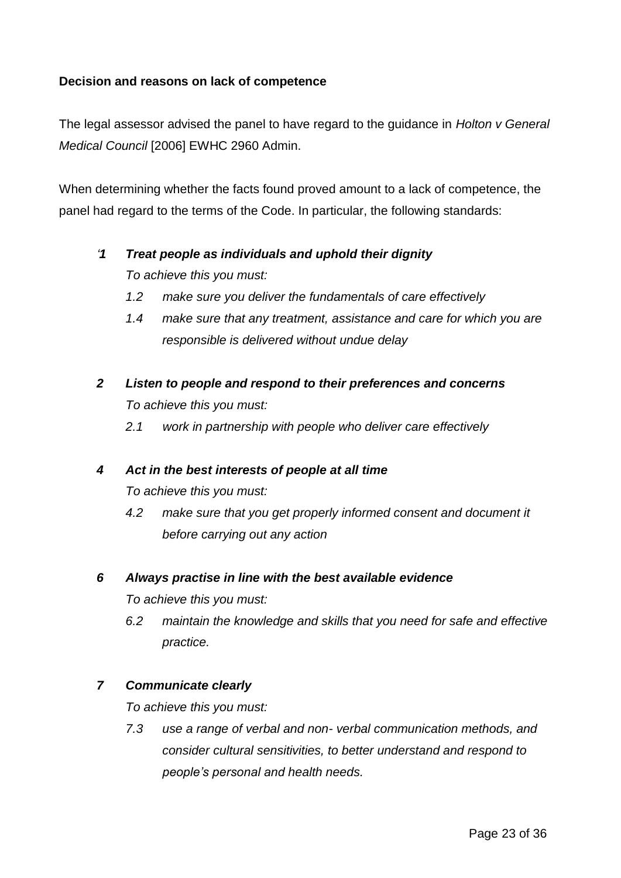## **Decision and reasons on lack of competence**

The legal assessor advised the panel to have regard to the guidance in *Holton v General Medical Council* [2006] EWHC 2960 Admin.

When determining whether the facts found proved amount to a lack of competence, the panel had regard to the terms of the Code. In particular, the following standards:

# *'1 Treat people as individuals and uphold their dignity*

*To achieve this you must:* 

- *1.2 make sure you deliver the fundamentals of care effectively*
- *1.4 make sure that any treatment, assistance and care for which you are responsible is delivered without undue delay*
- *2 Listen to people and respond to their preferences and concerns To achieve this you must:* 
	- *2.1 work in partnership with people who deliver care effectively*

## *4 Act in the best interests of people at all time*

*To achieve this you must:*

*4.2 make sure that you get properly informed consent and document it before carrying out any action*

## *6 Always practise in line with the best available evidence*

*To achieve this you must:* 

*6.2 maintain the knowledge and skills that you need for safe and effective practice.*

## *7 Communicate clearly*

*To achieve this you must:* 

*7.3 use a range of verbal and non- verbal communication methods, and consider cultural sensitivities, to better understand and respond to people's personal and health needs.*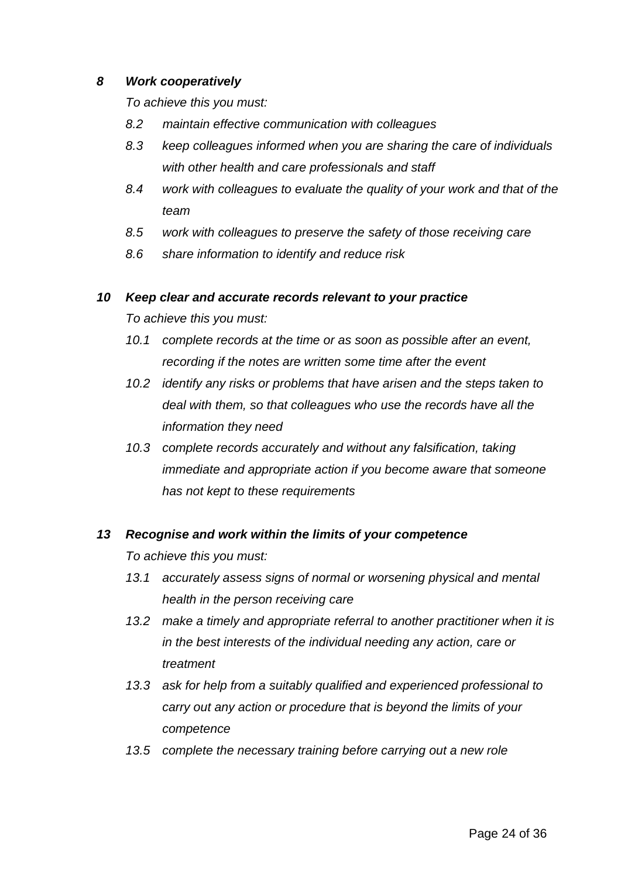#### *8 Work cooperatively*

*To achieve this you must:* 

- *8.2 maintain effective communication with colleagues*
- *8.3 keep colleagues informed when you are sharing the care of individuals with other health and care professionals and staff*
- *8.4 work with colleagues to evaluate the quality of your work and that of the team*
- *8.5 work with colleagues to preserve the safety of those receiving care*
- *8.6 share information to identify and reduce risk*

## *10 Keep clear and accurate records relevant to your practice*

*To achieve this you must:* 

- *10.1 complete records at the time or as soon as possible after an event, recording if the notes are written some time after the event*
- *10.2 identify any risks or problems that have arisen and the steps taken to deal with them, so that colleagues who use the records have all the information they need*
- *10.3 complete records accurately and without any falsification, taking immediate and appropriate action if you become aware that someone has not kept to these requirements*

## *13 Recognise and work within the limits of your competence*

*To achieve this you must:* 

- *13.1 accurately assess signs of normal or worsening physical and mental health in the person receiving care*
- *13.2 make a timely and appropriate referral to another practitioner when it is in the best interests of the individual needing any action, care or treatment*
- *13.3 ask for help from a suitably qualified and experienced professional to carry out any action or procedure that is beyond the limits of your competence*
- *13.5 complete the necessary training before carrying out a new role*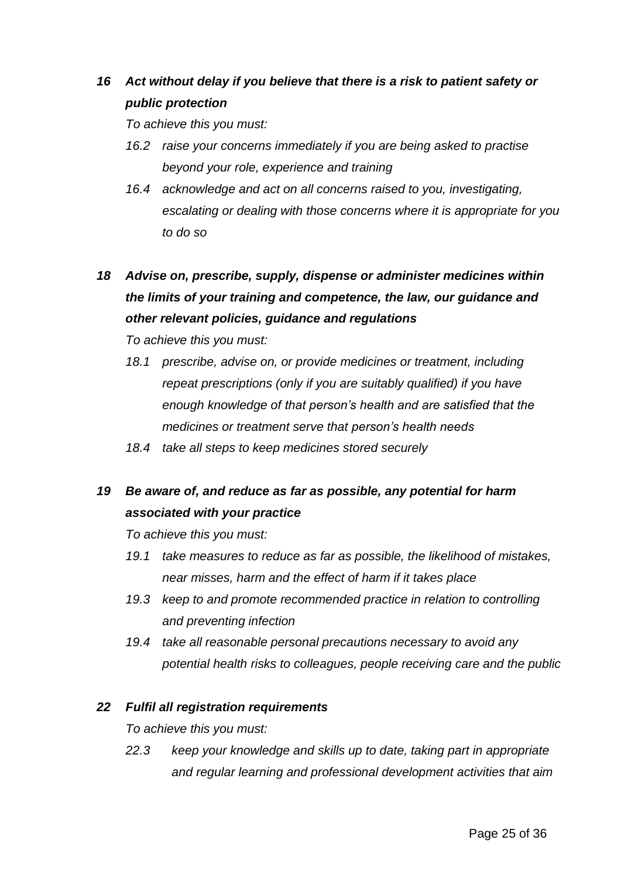# *16 Act without delay if you believe that there is a risk to patient safety or public protection*

*To achieve this you must:* 

- *16.2 raise your concerns immediately if you are being asked to practise beyond your role, experience and training*
- *16.4 acknowledge and act on all concerns raised to you, investigating, escalating or dealing with those concerns where it is appropriate for you to do so*
- *18 Advise on, prescribe, supply, dispense or administer medicines within the limits of your training and competence, the law, our guidance and other relevant policies, guidance and regulations*

*To achieve this you must:* 

- *18.1 prescribe, advise on, or provide medicines or treatment, including repeat prescriptions (only if you are suitably qualified) if you have enough knowledge of that person's health and are satisfied that the medicines or treatment serve that person's health needs*
- *18.4 take all steps to keep medicines stored securely*

# *19 Be aware of, and reduce as far as possible, any potential for harm associated with your practice*

*To achieve this you must:* 

- *19.1 take measures to reduce as far as possible, the likelihood of mistakes, near misses, harm and the effect of harm if it takes place*
- *19.3 keep to and promote recommended practice in relation to controlling and preventing infection*
- *19.4 take all reasonable personal precautions necessary to avoid any potential health risks to colleagues, people receiving care and the public*

#### *22 Fulfil all registration requirements*

*To achieve this you must:* 

*22.3 keep your knowledge and skills up to date, taking part in appropriate and regular learning and professional development activities that aim*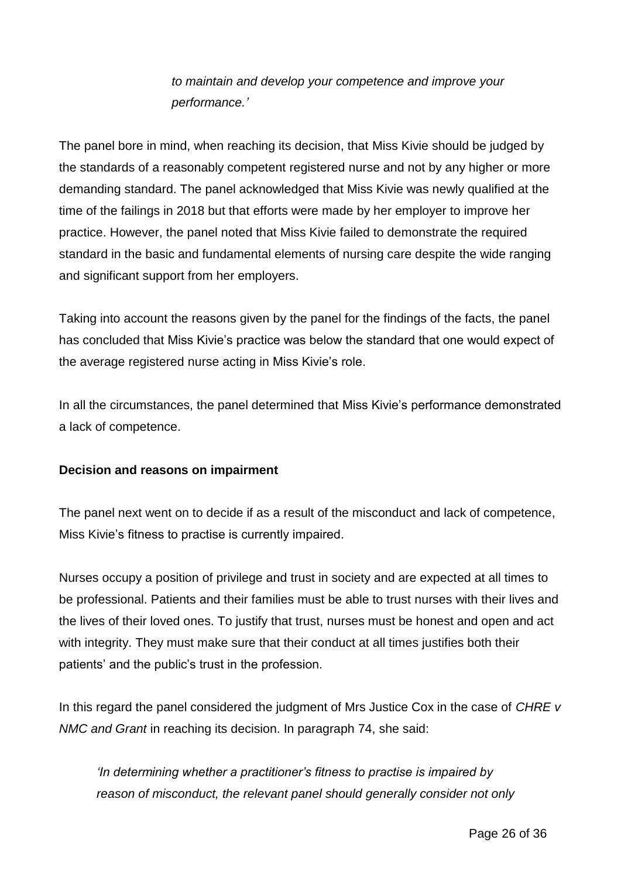*to maintain and develop your competence and improve your performance.'*

The panel bore in mind, when reaching its decision, that Miss Kivie should be judged by the standards of a reasonably competent registered nurse and not by any higher or more demanding standard. The panel acknowledged that Miss Kivie was newly qualified at the time of the failings in 2018 but that efforts were made by her employer to improve her practice. However, the panel noted that Miss Kivie failed to demonstrate the required standard in the basic and fundamental elements of nursing care despite the wide ranging and significant support from her employers.

Taking into account the reasons given by the panel for the findings of the facts, the panel has concluded that Miss Kivie's practice was below the standard that one would expect of the average registered nurse acting in Miss Kivie's role.

In all the circumstances, the panel determined that Miss Kivie's performance demonstrated a lack of competence.

## **Decision and reasons on impairment**

The panel next went on to decide if as a result of the misconduct and lack of competence, Miss Kivie's fitness to practise is currently impaired.

Nurses occupy a position of privilege and trust in society and are expected at all times to be professional. Patients and their families must be able to trust nurses with their lives and the lives of their loved ones. To justify that trust, nurses must be honest and open and act with integrity. They must make sure that their conduct at all times justifies both their patients' and the public's trust in the profession.

In this regard the panel considered the judgment of Mrs Justice Cox in the case of *CHRE v NMC and Grant* in reaching its decision. In paragraph 74, she said:

*'In determining whether a practitioner's fitness to practise is impaired by reason of misconduct, the relevant panel should generally consider not only*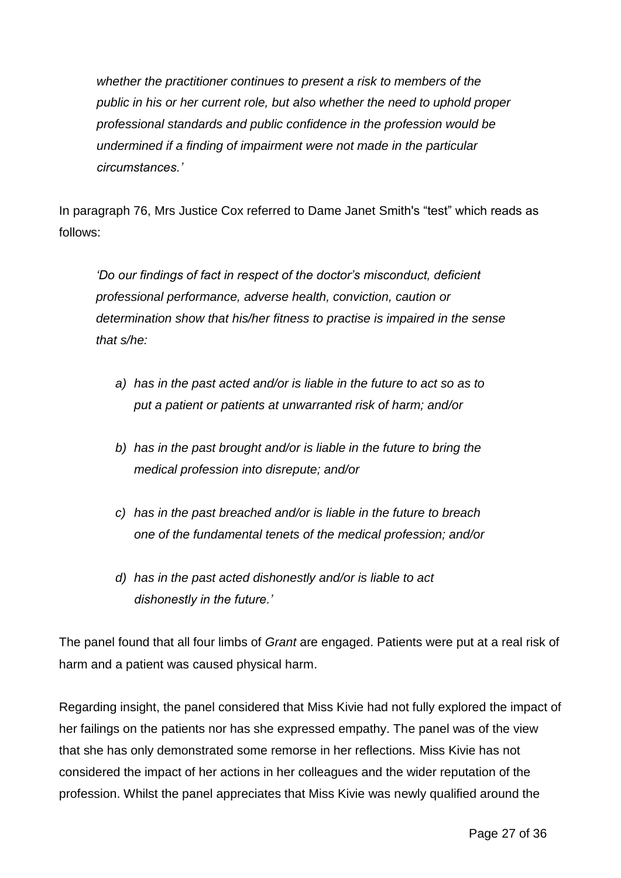*whether the practitioner continues to present a risk to members of the public in his or her current role, but also whether the need to uphold proper professional standards and public confidence in the profession would be undermined if a finding of impairment were not made in the particular circumstances.'*

In paragraph 76, Mrs Justice Cox referred to Dame Janet Smith's "test" which reads as follows:

*'Do our findings of fact in respect of the doctor's misconduct, deficient professional performance, adverse health, conviction, caution or determination show that his/her fitness to practise is impaired in the sense that s/he:*

- *a) has in the past acted and/or is liable in the future to act so as to put a patient or patients at unwarranted risk of harm; and/or*
- *b) has in the past brought and/or is liable in the future to bring the medical profession into disrepute; and/or*
- *c) has in the past breached and/or is liable in the future to breach one of the fundamental tenets of the medical profession; and/or*
- *d) has in the past acted dishonestly and/or is liable to act dishonestly in the future.'*

The panel found that all four limbs of *Grant* are engaged. Patients were put at a real risk of harm and a patient was caused physical harm.

Regarding insight, the panel considered that Miss Kivie had not fully explored the impact of her failings on the patients nor has she expressed empathy. The panel was of the view that she has only demonstrated some remorse in her reflections. Miss Kivie has not considered the impact of her actions in her colleagues and the wider reputation of the profession. Whilst the panel appreciates that Miss Kivie was newly qualified around the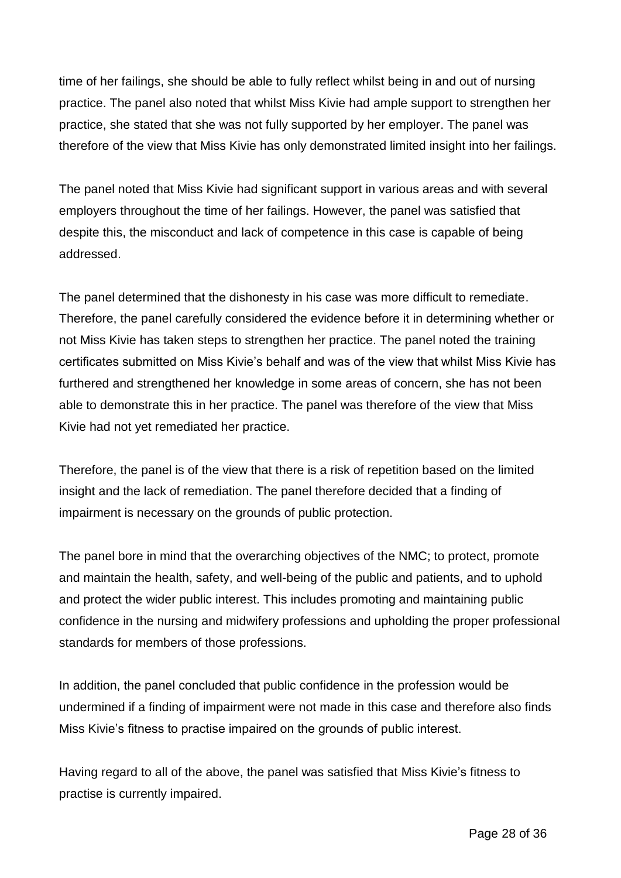time of her failings, she should be able to fully reflect whilst being in and out of nursing practice. The panel also noted that whilst Miss Kivie had ample support to strengthen her practice, she stated that she was not fully supported by her employer. The panel was therefore of the view that Miss Kivie has only demonstrated limited insight into her failings.

The panel noted that Miss Kivie had significant support in various areas and with several employers throughout the time of her failings. However, the panel was satisfied that despite this, the misconduct and lack of competence in this case is capable of being addressed.

The panel determined that the dishonesty in his case was more difficult to remediate. Therefore, the panel carefully considered the evidence before it in determining whether or not Miss Kivie has taken steps to strengthen her practice. The panel noted the training certificates submitted on Miss Kivie's behalf and was of the view that whilst Miss Kivie has furthered and strengthened her knowledge in some areas of concern, she has not been able to demonstrate this in her practice. The panel was therefore of the view that Miss Kivie had not yet remediated her practice.

Therefore, the panel is of the view that there is a risk of repetition based on the limited insight and the lack of remediation. The panel therefore decided that a finding of impairment is necessary on the grounds of public protection.

The panel bore in mind that the overarching objectives of the NMC; to protect, promote and maintain the health, safety, and well-being of the public and patients, and to uphold and protect the wider public interest. This includes promoting and maintaining public confidence in the nursing and midwifery professions and upholding the proper professional standards for members of those professions.

In addition, the panel concluded that public confidence in the profession would be undermined if a finding of impairment were not made in this case and therefore also finds Miss Kivie's fitness to practise impaired on the grounds of public interest.

Having regard to all of the above, the panel was satisfied that Miss Kivie's fitness to practise is currently impaired.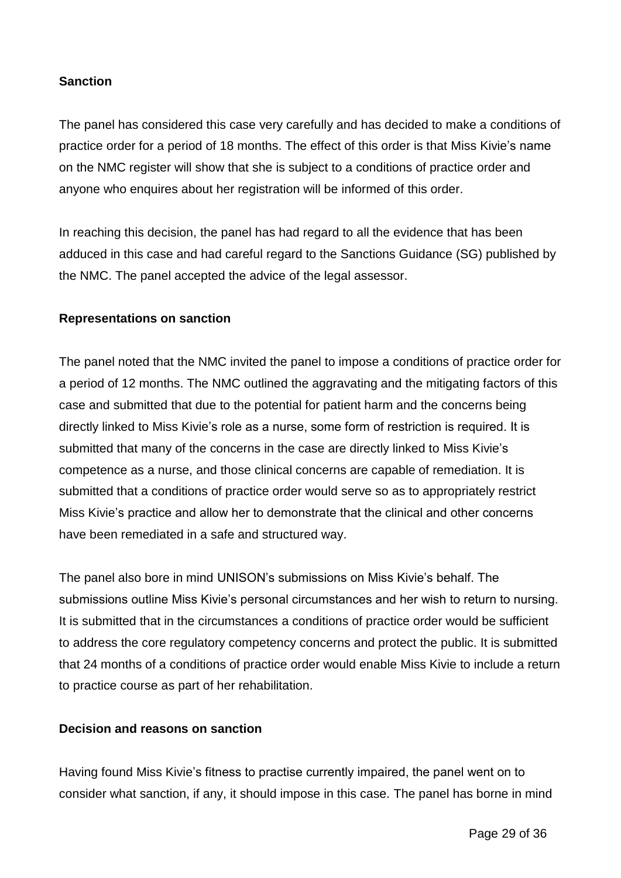## **Sanction**

The panel has considered this case very carefully and has decided to make a conditions of practice order for a period of 18 months. The effect of this order is that Miss Kivie's name on the NMC register will show that she is subject to a conditions of practice order and anyone who enquires about her registration will be informed of this order.

In reaching this decision, the panel has had regard to all the evidence that has been adduced in this case and had careful regard to the Sanctions Guidance (SG) published by the NMC. The panel accepted the advice of the legal assessor.

#### **Representations on sanction**

The panel noted that the NMC invited the panel to impose a conditions of practice order for a period of 12 months. The NMC outlined the aggravating and the mitigating factors of this case and submitted that due to the potential for patient harm and the concerns being directly linked to Miss Kivie's role as a nurse, some form of restriction is required. It is submitted that many of the concerns in the case are directly linked to Miss Kivie's competence as a nurse, and those clinical concerns are capable of remediation. It is submitted that a conditions of practice order would serve so as to appropriately restrict Miss Kivie's practice and allow her to demonstrate that the clinical and other concerns have been remediated in a safe and structured way.

The panel also bore in mind UNISON's submissions on Miss Kivie's behalf. The submissions outline Miss Kivie's personal circumstances and her wish to return to nursing. It is submitted that in the circumstances a conditions of practice order would be sufficient to address the core regulatory competency concerns and protect the public. It is submitted that 24 months of a conditions of practice order would enable Miss Kivie to include a return to practice course as part of her rehabilitation.

#### **Decision and reasons on sanction**

Having found Miss Kivie's fitness to practise currently impaired, the panel went on to consider what sanction, if any, it should impose in this case. The panel has borne in mind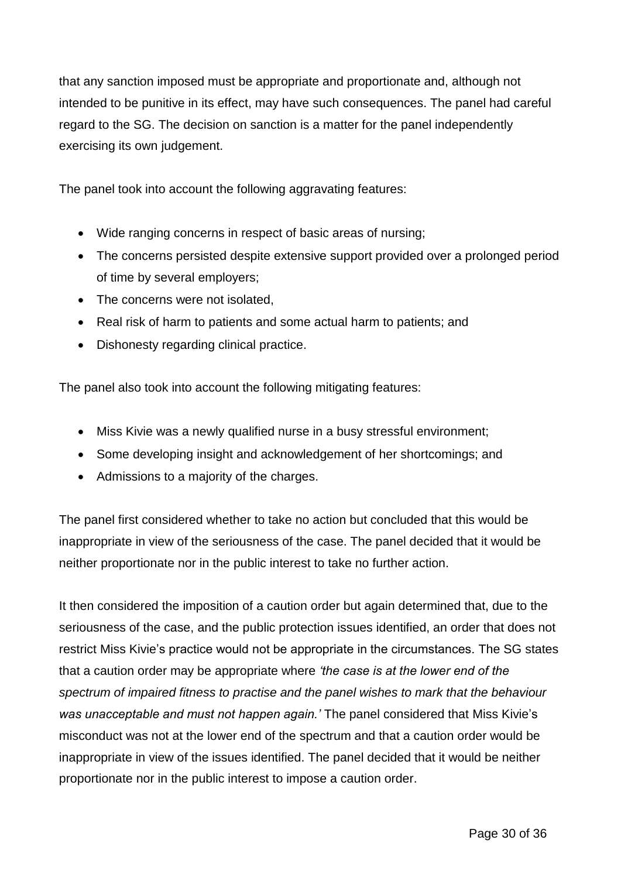that any sanction imposed must be appropriate and proportionate and, although not intended to be punitive in its effect, may have such consequences. The panel had careful regard to the SG. The decision on sanction is a matter for the panel independently exercising its own judgement.

The panel took into account the following aggravating features:

- Wide ranging concerns in respect of basic areas of nursing;
- The concerns persisted despite extensive support provided over a prolonged period of time by several employers;
- The concerns were not isolated,
- Real risk of harm to patients and some actual harm to patients; and
- Dishonesty regarding clinical practice.

The panel also took into account the following mitigating features:

- Miss Kivie was a newly qualified nurse in a busy stressful environment;
- Some developing insight and acknowledgement of her shortcomings; and
- Admissions to a majority of the charges.

The panel first considered whether to take no action but concluded that this would be inappropriate in view of the seriousness of the case. The panel decided that it would be neither proportionate nor in the public interest to take no further action.

It then considered the imposition of a caution order but again determined that, due to the seriousness of the case, and the public protection issues identified, an order that does not restrict Miss Kivie's practice would not be appropriate in the circumstances. The SG states that a caution order may be appropriate where *'the case is at the lower end of the spectrum of impaired fitness to practise and the panel wishes to mark that the behaviour was unacceptable and must not happen again.'* The panel considered that Miss Kivie's misconduct was not at the lower end of the spectrum and that a caution order would be inappropriate in view of the issues identified. The panel decided that it would be neither proportionate nor in the public interest to impose a caution order.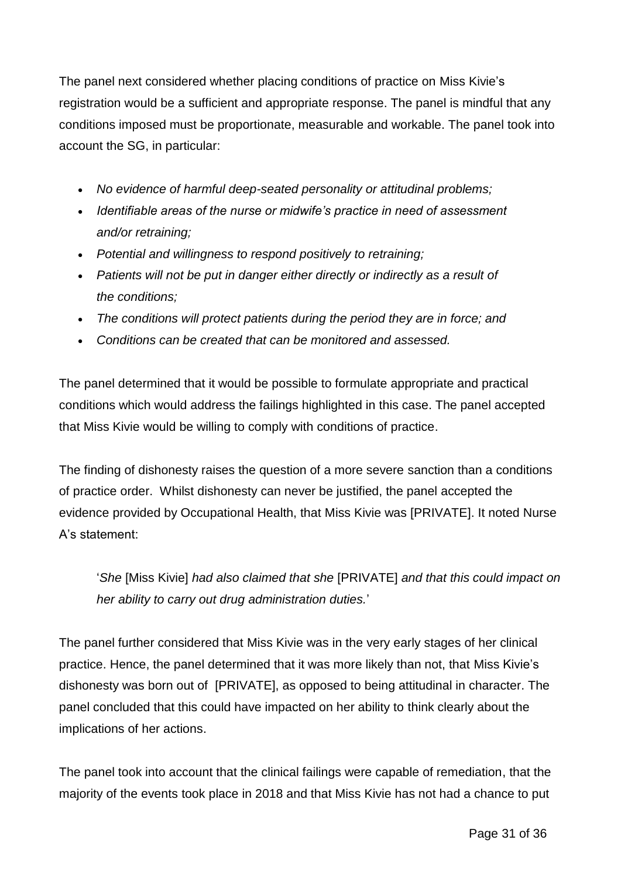The panel next considered whether placing conditions of practice on Miss Kivie's registration would be a sufficient and appropriate response. The panel is mindful that any conditions imposed must be proportionate, measurable and workable. The panel took into account the SG, in particular:

- *No evidence of harmful deep-seated personality or attitudinal problems;*
- *Identifiable areas of the nurse or midwife's practice in need of assessment and/or retraining;*
- *Potential and willingness to respond positively to retraining;*
- *Patients will not be put in danger either directly or indirectly as a result of the conditions;*
- *The conditions will protect patients during the period they are in force; and*
- *Conditions can be created that can be monitored and assessed.*

The panel determined that it would be possible to formulate appropriate and practical conditions which would address the failings highlighted in this case. The panel accepted that Miss Kivie would be willing to comply with conditions of practice.

The finding of dishonesty raises the question of a more severe sanction than a conditions of practice order. Whilst dishonesty can never be justified, the panel accepted the evidence provided by Occupational Health, that Miss Kivie was [PRIVATE]. It noted Nurse A's statement:

'*She* [Miss Kivie] *had also claimed that she* [PRIVATE] *and that this could impact on her ability to carry out drug administration duties.*'

The panel further considered that Miss Kivie was in the very early stages of her clinical practice. Hence, the panel determined that it was more likely than not, that Miss Kivie's dishonesty was born out of [PRIVATE], as opposed to being attitudinal in character. The panel concluded that this could have impacted on her ability to think clearly about the implications of her actions.

The panel took into account that the clinical failings were capable of remediation, that the majority of the events took place in 2018 and that Miss Kivie has not had a chance to put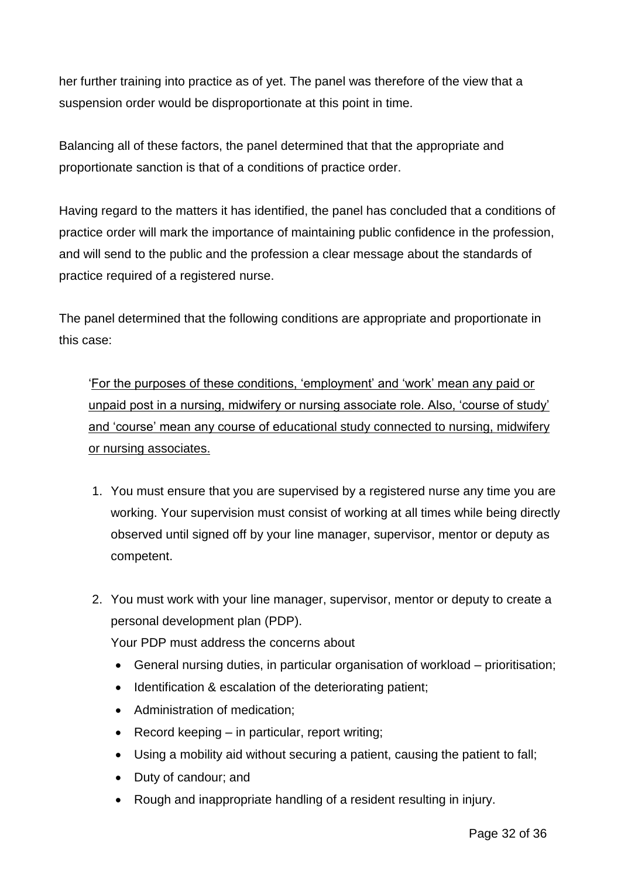her further training into practice as of yet. The panel was therefore of the view that a suspension order would be disproportionate at this point in time.

Balancing all of these factors, the panel determined that that the appropriate and proportionate sanction is that of a conditions of practice order.

Having regard to the matters it has identified, the panel has concluded that a conditions of practice order will mark the importance of maintaining public confidence in the profession, and will send to the public and the profession a clear message about the standards of practice required of a registered nurse.

The panel determined that the following conditions are appropriate and proportionate in this case:

'For the purposes of these conditions, 'employment' and 'work' mean any paid or unpaid post in a nursing, midwifery or nursing associate role. Also, 'course of study' and 'course' mean any course of educational study connected to nursing, midwifery or nursing associates.

- 1. You must ensure that you are supervised by a registered nurse any time you are working. Your supervision must consist of working at all times while being directly observed until signed off by your line manager, supervisor, mentor or deputy as competent.
- 2. You must work with your line manager, supervisor, mentor or deputy to create a personal development plan (PDP).

Your PDP must address the concerns about

- General nursing duties, in particular organisation of workload prioritisation;
- Identification & escalation of the deteriorating patient;
- Administration of medication:
- $\bullet$  Record keeping in particular, report writing;
- Using a mobility aid without securing a patient, causing the patient to fall;
- Duty of candour; and
- Rough and inappropriate handling of a resident resulting in injury.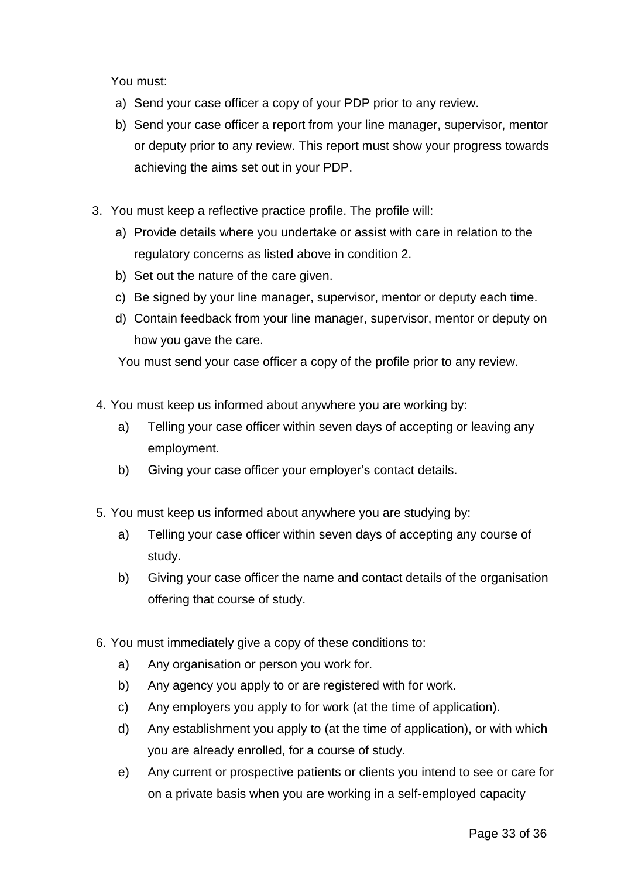You must:

- a) Send your case officer a copy of your PDP prior to any review.
- b) Send your case officer a report from your line manager, supervisor, mentor or deputy prior to any review. This report must show your progress towards achieving the aims set out in your PDP.
- 3. You must keep a reflective practice profile. The profile will:
	- a) Provide details where you undertake or assist with care in relation to the regulatory concerns as listed above in condition 2.
	- b) Set out the nature of the care given.
	- c) Be signed by your line manager, supervisor, mentor or deputy each time.
	- d) Contain feedback from your line manager, supervisor, mentor or deputy on how you gave the care.

You must send your case officer a copy of the profile prior to any review.

- 4. You must keep us informed about anywhere you are working by:
	- a) Telling your case officer within seven days of accepting or leaving any employment.
	- b) Giving your case officer your employer's contact details.
- 5. You must keep us informed about anywhere you are studying by:
	- a) Telling your case officer within seven days of accepting any course of study.
	- b) Giving your case officer the name and contact details of the organisation offering that course of study.
- 6. You must immediately give a copy of these conditions to:
	- a) Any organisation or person you work for.
	- b) Any agency you apply to or are registered with for work.
	- c) Any employers you apply to for work (at the time of application).
	- d) Any establishment you apply to (at the time of application), or with which you are already enrolled, for a course of study.
	- e) Any current or prospective patients or clients you intend to see or care for on a private basis when you are working in a self-employed capacity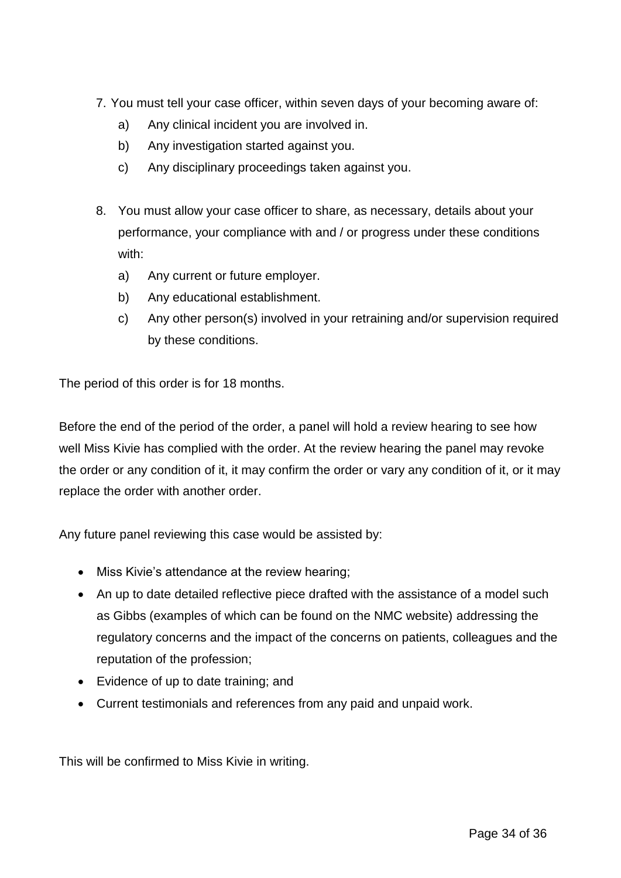- 7. You must tell your case officer, within seven days of your becoming aware of:
	- a) Any clinical incident you are involved in.
	- b) Any investigation started against you.
	- c) Any disciplinary proceedings taken against you.
- 8. You must allow your case officer to share, as necessary, details about your performance, your compliance with and / or progress under these conditions with:
	- a) Any current or future employer.
	- b) Any educational establishment.
	- c) Any other person(s) involved in your retraining and/or supervision required by these conditions.

The period of this order is for 18 months.

Before the end of the period of the order, a panel will hold a review hearing to see how well Miss Kivie has complied with the order. At the review hearing the panel may revoke the order or any condition of it, it may confirm the order or vary any condition of it, or it may replace the order with another order.

Any future panel reviewing this case would be assisted by:

- Miss Kivie's attendance at the review hearing;
- An up to date detailed reflective piece drafted with the assistance of a model such as Gibbs (examples of which can be found on the NMC website) addressing the regulatory concerns and the impact of the concerns on patients, colleagues and the reputation of the profession;
- Evidence of up to date training; and
- Current testimonials and references from any paid and unpaid work.

This will be confirmed to Miss Kivie in writing.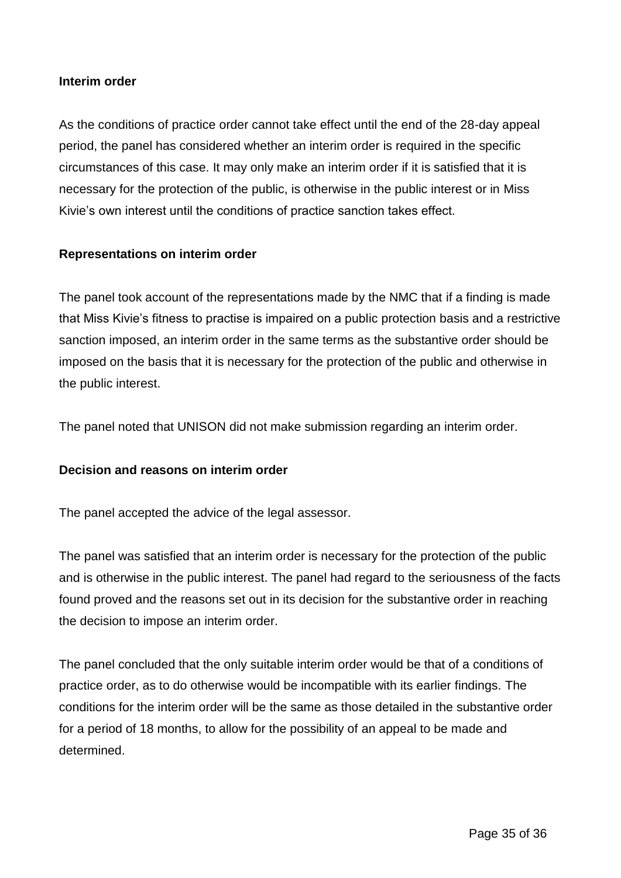#### **Interim order**

As the conditions of practice order cannot take effect until the end of the 28-day appeal period, the panel has considered whether an interim order is required in the specific circumstances of this case. It may only make an interim order if it is satisfied that it is necessary for the protection of the public, is otherwise in the public interest or in Miss Kivie's own interest until the conditions of practice sanction takes effect.

## **Representations on interim order**

The panel took account of the representations made by the NMC that if a finding is made that Miss Kivie's fitness to practise is impaired on a public protection basis and a restrictive sanction imposed, an interim order in the same terms as the substantive order should be imposed on the basis that it is necessary for the protection of the public and otherwise in the public interest.

The panel noted that UNISON did not make submission regarding an interim order.

#### **Decision and reasons on interim order**

The panel accepted the advice of the legal assessor.

The panel was satisfied that an interim order is necessary for the protection of the public and is otherwise in the public interest. The panel had regard to the seriousness of the facts found proved and the reasons set out in its decision for the substantive order in reaching the decision to impose an interim order.

The panel concluded that the only suitable interim order would be that of a conditions of practice order, as to do otherwise would be incompatible with its earlier findings. The conditions for the interim order will be the same as those detailed in the substantive order for a period of 18 months, to allow for the possibility of an appeal to be made and determined.